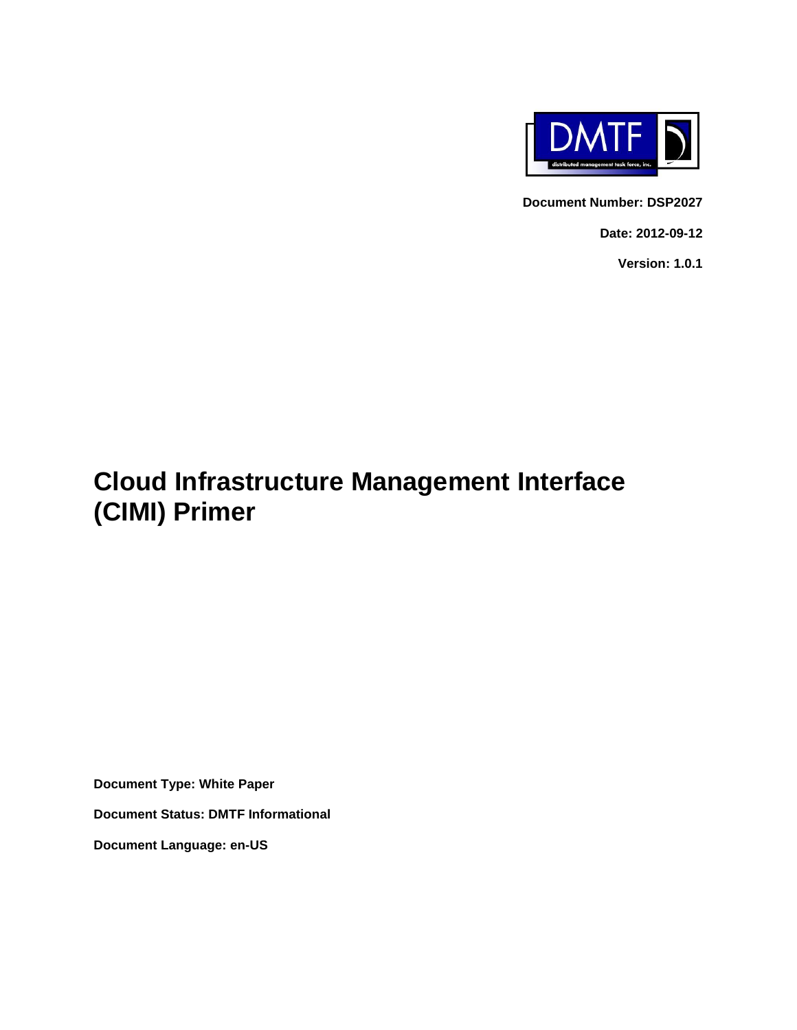

**Document Number: DSP2027**

**Date: 2012-09-12**

**Version: 1.0.1**

# **Cloud Infrastructure Management Interface (CIMI) Primer**

**Document Type: White Paper**

**Document Status: DMTF Informational**

**Document Language: en-US**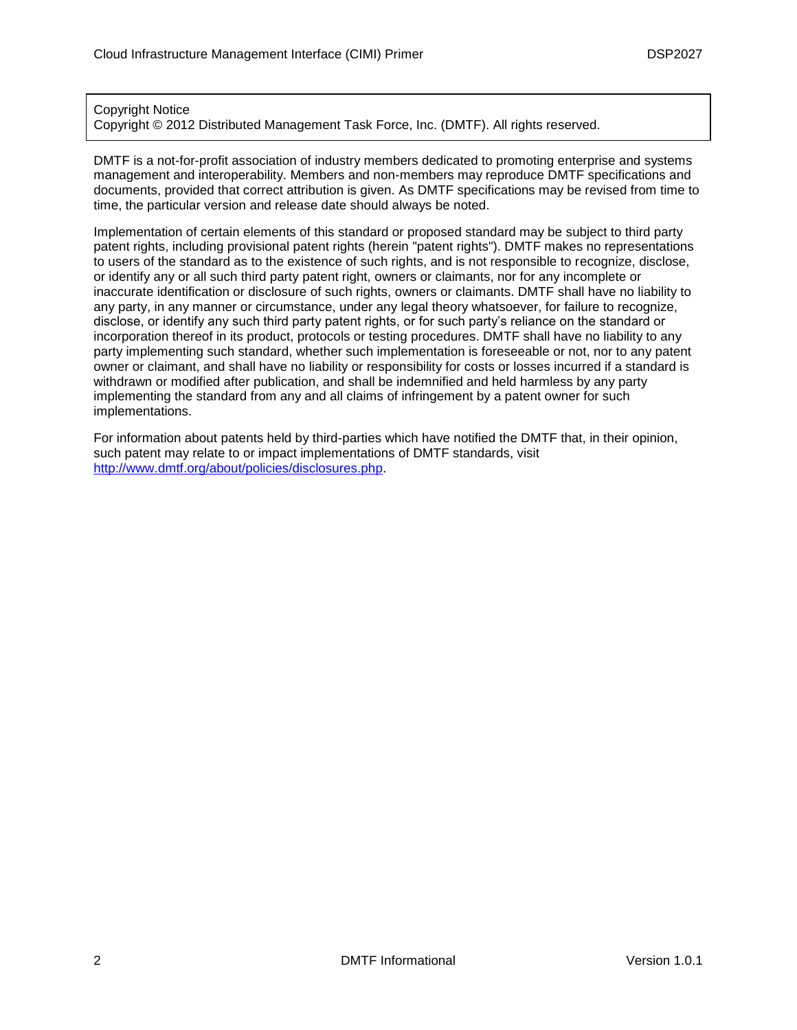# Copyright Notice

Copyright © 2012 Distributed Management Task Force, Inc. (DMTF). All rights reserved.

DMTF is a not-for-profit association of industry members dedicated to promoting enterprise and systems management and interoperability. Members and non-members may reproduce DMTF specifications and documents, provided that correct attribution is given. As DMTF specifications may be revised from time to time, the particular version and release date should always be noted.

Implementation of certain elements of this standard or proposed standard may be subject to third party patent rights, including provisional patent rights (herein "patent rights"). DMTF makes no representations to users of the standard as to the existence of such rights, and is not responsible to recognize, disclose, or identify any or all such third party patent right, owners or claimants, nor for any incomplete or inaccurate identification or disclosure of such rights, owners or claimants. DMTF shall have no liability to any party, in any manner or circumstance, under any legal theory whatsoever, for failure to recognize, disclose, or identify any such third party patent rights, or for such party's reliance on the standard or incorporation thereof in its product, protocols or testing procedures. DMTF shall have no liability to any party implementing such standard, whether such implementation is foreseeable or not, nor to any patent owner or claimant, and shall have no liability or responsibility for costs or losses incurred if a standard is withdrawn or modified after publication, and shall be indemnified and held harmless by any party implementing the standard from any and all claims of infringement by a patent owner for such implementations.

For information about patents held by third-parties which have notified the DMTF that, in their opinion, such patent may relate to or impact implementations of DMTF standards, visit [http://www.dmtf.org/about/policies/disclosures.php.](http://www.dmtf.org/about/policies/disclosures.php)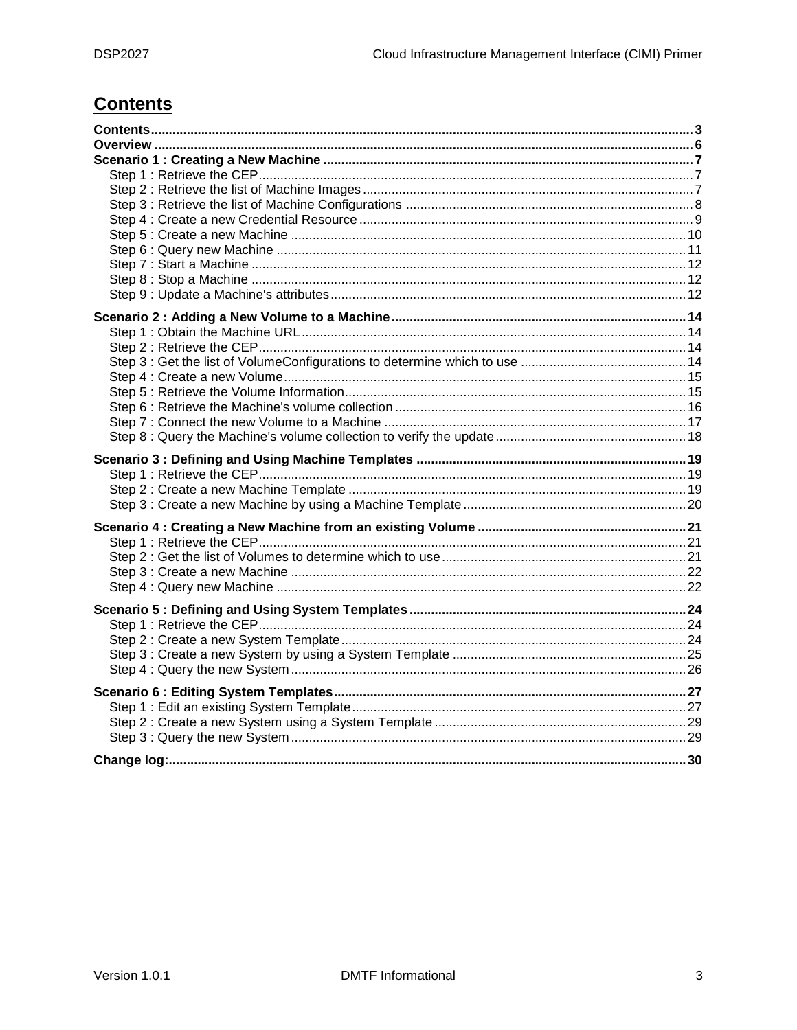# <span id="page-2-0"></span>**Contents**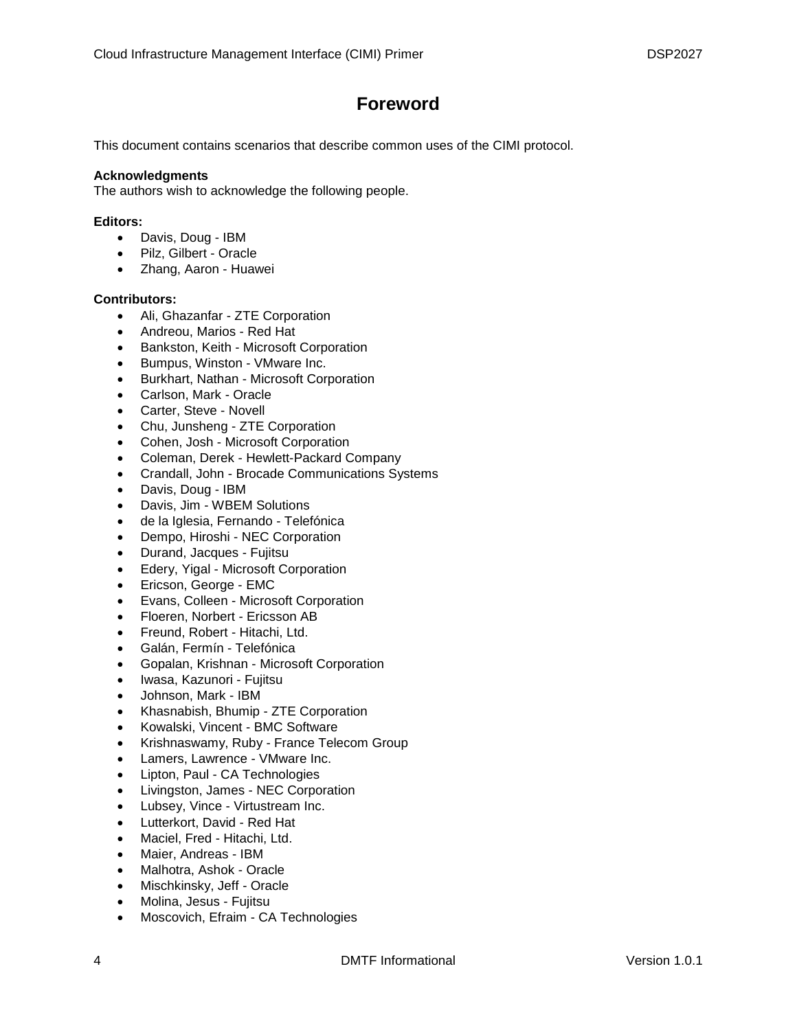# **Foreword**

This document contains scenarios that describe common uses of the CIMI protocol.

# **Acknowledgments**

The authors wish to acknowledge the following people.

### **Editors:**

- Davis, Doug IBM
- Pilz, Gilbert Oracle
- Zhang, Aaron Huawei

## **Contributors:**

- Ali, Ghazanfar ZTE Corporation
- Andreou, Marios Red Hat
- Bankston, Keith Microsoft Corporation
- Bumpus, Winston VMware Inc.
- Burkhart, Nathan Microsoft Corporation
- Carlson, Mark Oracle
- Carter, Steve Novell
- Chu, Junsheng ZTE Corporation
- Cohen, Josh Microsoft Corporation
- Coleman, Derek Hewlett-Packard Company
- Crandall, John Brocade Communications Systems
- Davis, Doug IBM
- Davis, Jim WBEM Solutions
- de la Iglesia, Fernando Telefónica
- Dempo, Hiroshi NEC Corporation
- Durand, Jacques Fujitsu
- Edery, Yigal Microsoft Corporation
- Ericson, George EMC
- Evans, Colleen Microsoft Corporation
- Floeren, Norbert Ericsson AB
- Freund, Robert Hitachi, Ltd.
- Galán, Fermín Telefónica
- Gopalan, Krishnan Microsoft Corporation
- Iwasa, Kazunori Fujitsu
- Johnson, Mark IBM
- Khasnabish, Bhumip ZTE Corporation
- Kowalski, Vincent BMC Software
- Krishnaswamy, Ruby France Telecom Group
- Lamers, Lawrence VMware Inc.
- Lipton, Paul CA Technologies
- Livingston, James NEC Corporation
- Lubsey, Vince Virtustream Inc.
- Lutterkort, David Red Hat
- Maciel, Fred Hitachi, Ltd.
- Maier, Andreas IBM
- Malhotra, Ashok Oracle
- Mischkinsky, Jeff Oracle
- Molina, Jesus Fujitsu
- Moscovich, Efraim CA Technologies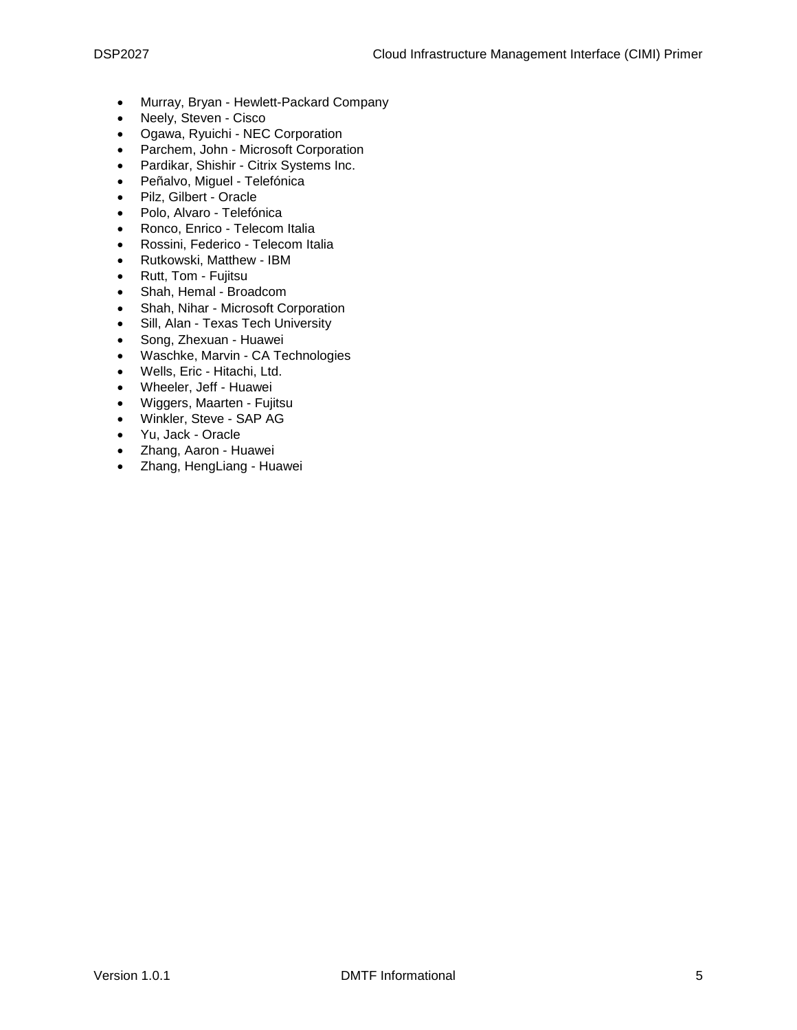- Murray, Bryan Hewlett-Packard Company
- Neely, Steven Cisco
- Ogawa, Ryuichi NEC Corporation
- Parchem, John Microsoft Corporation
- Pardikar, Shishir Citrix Systems Inc.
- Peñalvo, Miguel Telefónica
- Pilz, Gilbert Oracle
- Polo, Alvaro Telefónica
- Ronco, Enrico Telecom Italia
- Rossini, Federico Telecom Italia
- Rutkowski, Matthew IBM
- Rutt, Tom Fujitsu
- Shah, Hemal Broadcom
- Shah, Nihar Microsoft Corporation
- Sill, Alan Texas Tech University
- Song, Zhexuan Huawei
- Waschke, Marvin CA Technologies
- Wells, Eric Hitachi, Ltd.
- Wheeler, Jeff Huawei
- Wiggers, Maarten Fujitsu
- Winkler, Steve SAP AG
- Yu, Jack Oracle
- Zhang, Aaron Huawei
- Zhang, HengLiang Huawei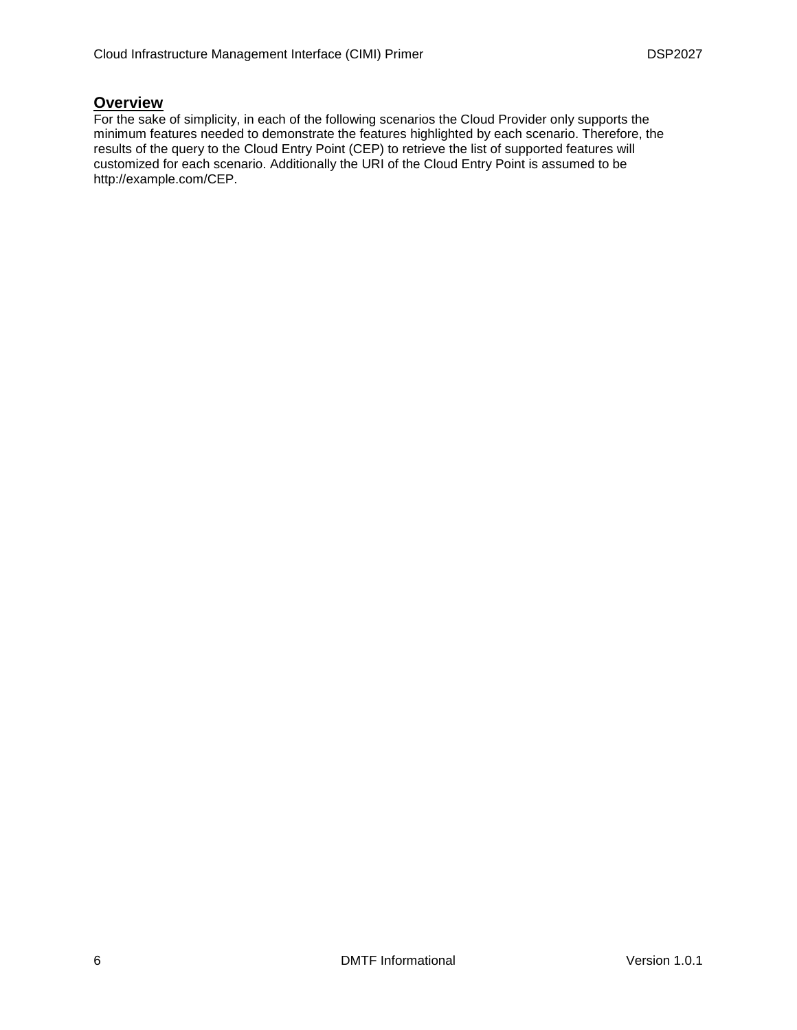# <span id="page-5-0"></span>**Overview**

For the sake of simplicity, in each of the following scenarios the Cloud Provider only supports the minimum features needed to demonstrate the features highlighted by each scenario. Therefore, the results of the query to the Cloud Entry Point (CEP) to retrieve the list of supported features will customized for each scenario. Additionally the URI of the Cloud Entry Point is assumed to be http://example.com/CEP.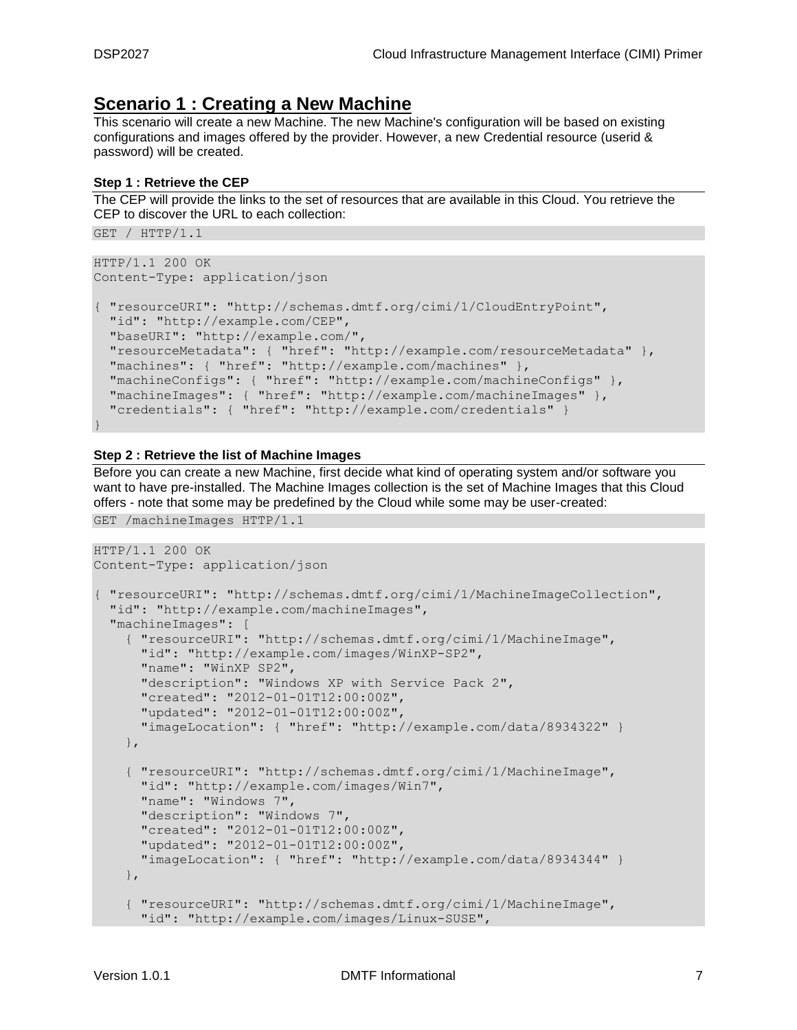# <span id="page-6-0"></span>**Scenario 1 : Creating a New Machine**

This scenario will create a new Machine. The new Machine's configuration will be based on existing configurations and images offered by the provider. However, a new Credential resource (userid & password) will be created.

### <span id="page-6-1"></span>**Step 1 : Retrieve the CEP**

The CEP will provide the links to the set of resources that are available in this Cloud. You retrieve the CEP to discover the URL to each collection:

```
GET / HTTP/1.1
```

```
HTTP/1.1 200 OK
Content-Type: application/json
{ "resourceURI": "http://schemas.dmtf.org/cimi/1/CloudEntryPoint",
   "id": "http://example.com/CEP",
   "baseURI": "http://example.com/",
   "resourceMetadata": { "href": "http://example.com/resourceMetadata" },
   "machines": { "href": "http://example.com/machines" },
   "machineConfigs": { "href": "http://example.com/machineConfigs" },
   "machineImages": { "href": "http://example.com/machineImages" },
   "credentials": { "href": "http://example.com/credentials" }
}
```
### <span id="page-6-2"></span>**Step 2 : Retrieve the list of Machine Images**

Before you can create a new Machine, first decide what kind of operating system and/or software you want to have pre-installed. The Machine Images collection is the set of Machine Images that this Cloud offers - note that some may be predefined by the Cloud while some may be user-created:

```
GET /machineImages HTTP/1.1
```

```
HTTP/1.1 200 OK
Content-Type: application/json
{ "resourceURI": "http://schemas.dmtf.org/cimi/1/MachineImageCollection",
   "id": "http://example.com/machineImages",
   "machineImages": [
     { "resourceURI": "http://schemas.dmtf.org/cimi/1/MachineImage",
       "id": "http://example.com/images/WinXP-SP2",
      "name": "WinXP SP2",
       "description": "Windows XP with Service Pack 2",
       "created": "2012-01-01T12:00:00Z", 
       "updated": "2012-01-01T12:00:00Z",
       "imageLocation": { "href": "http://example.com/data/8934322" }
     },
     { "resourceURI": "http://schemas.dmtf.org/cimi/1/MachineImage",
       "id": "http://example.com/images/Win7",
      "name": "Windows 7",
       "description": "Windows 7",
       "created": "2012-01-01T12:00:00Z", 
       "updated": "2012-01-01T12:00:00Z",
       "imageLocation": { "href": "http://example.com/data/8934344" }
     },
     { "resourceURI": "http://schemas.dmtf.org/cimi/1/MachineImage",
       "id": "http://example.com/images/Linux-SUSE",
```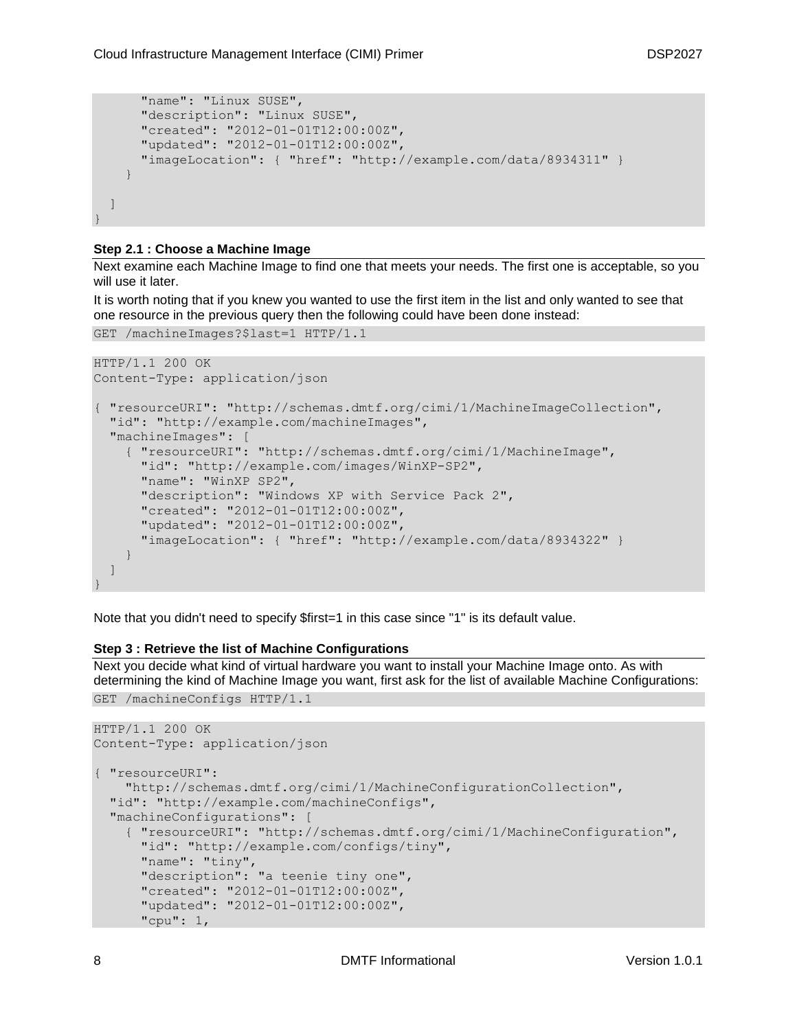```
 "name": "Linux SUSE",
       "description": "Linux SUSE",
       "created": "2012-01-01T12:00:00Z", 
       "updated": "2012-01-01T12:00:00Z",
       "imageLocation": { "href": "http://example.com/data/8934311" }
     }
 \mathbf{I}}
```
# **Step 2.1 : Choose a Machine Image**

Next examine each Machine Image to find one that meets your needs. The first one is acceptable, so you will use it later.

It is worth noting that if you knew you wanted to use the first item in the list and only wanted to see that one resource in the previous query then the following could have been done instead:

```
GET /machineImages?$last=1 HTTP/1.1
```

```
HTTP/1.1 200 OK
Content-Type: application/json
{ "resourceURI": "http://schemas.dmtf.org/cimi/1/MachineImageCollection",
   "id": "http://example.com/machineImages",
   "machineImages": [
     { "resourceURI": "http://schemas.dmtf.org/cimi/1/MachineImage",
       "id": "http://example.com/images/WinXP-SP2",
       "name": "WinXP SP2",
       "description": "Windows XP with Service Pack 2",
       "created": "2012-01-01T12:00:00Z", 
       "updated": "2012-01-01T12:00:00Z",
       "imageLocation": { "href": "http://example.com/data/8934322" }
     }
   ]
}
```
Note that you didn't need to specify \$first=1 in this case since "1" is its default value.

### <span id="page-7-0"></span>**Step 3 : Retrieve the list of Machine Configurations**

Next you decide what kind of virtual hardware you want to install your Machine Image onto. As with determining the kind of Machine Image you want, first ask for the list of available Machine Configurations: GET /machineConfigs HTTP/1.1

```
HTTP/1.1 200 OK
Content-Type: application/json
{ "resourceURI": 
     "http://schemas.dmtf.org/cimi/1/MachineConfigurationCollection",
   "id": "http://example.com/machineConfigs",
   "machineConfigurations": [
     { "resourceURI": "http://schemas.dmtf.org/cimi/1/MachineConfiguration",
       "id": "http://example.com/configs/tiny",
      "name": "tiny",
       "description": "a teenie tiny one", 
       "created": "2012-01-01T12:00:00Z", 
       "updated": "2012-01-01T12:00:00Z", 
       "cpu": 1,
```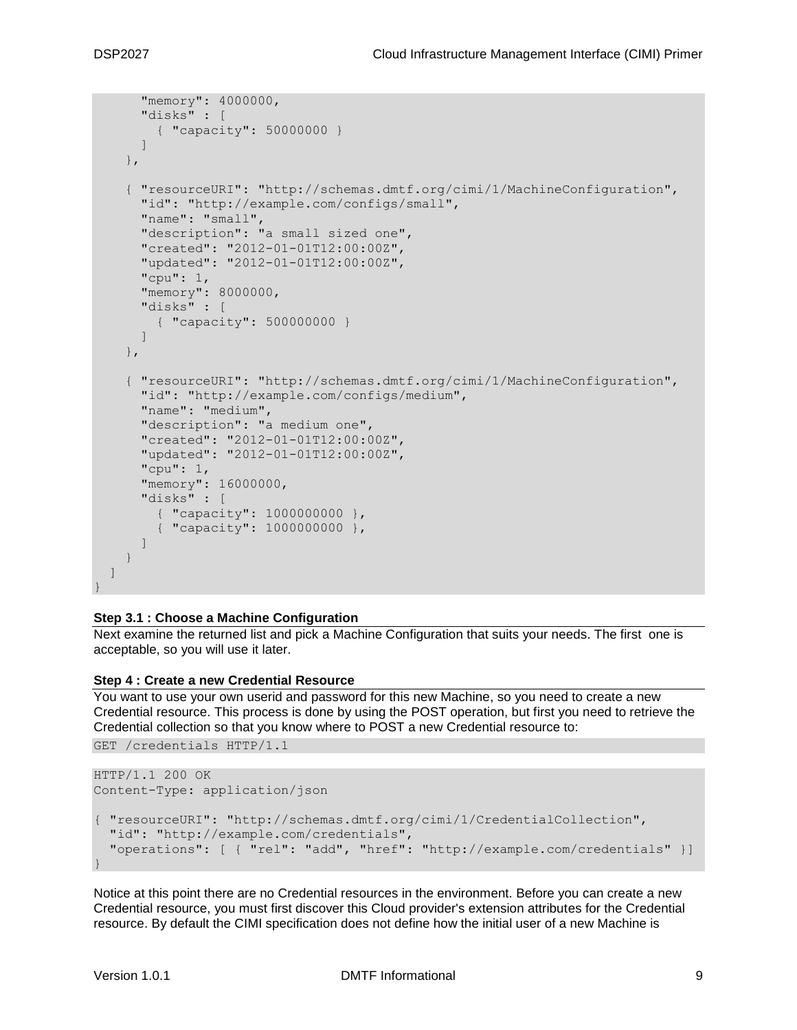```
"memory": 4000000,
      "disks" : [ 
        { "capacity": 50000000 }
\blacksquare },
    { "resourceURI": "http://schemas.dmtf.org/cimi/1/MachineConfiguration",
      "id": "http://example.com/configs/small",
      "name": "small",
      "description": "a small sized one", 
      "created": "2012-01-01T12:00:00Z", 
      "updated": "2012-01-01T12:00:00Z", 
      "cpu": 1,
     "memory": 8000000,
      "disks" : [ 
        { "capacity": 500000000 }
\begin{array}{ccc} \end{array} },
    { "resourceURI": "http://schemas.dmtf.org/cimi/1/MachineConfiguration",
      "id": "http://example.com/configs/medium",
      "name": "medium",
      "description": "a medium one", 
      "created": "2012-01-01T12:00:00Z", 
      "updated": "2012-01-01T12:00:00Z", 
      "cpu": 1,
     "memory": 16000000,
      "disks" : [ 
        { "capacity": 1000000000 },
         { "capacity": 1000000000 },
      ]
    }
\mathbf{I}
```
### **Step 3.1 : Choose a Machine Configuration**

Next examine the returned list and pick a Machine Configuration that suits your needs. The first one is acceptable, so you will use it later.

## <span id="page-8-0"></span>**Step 4 : Create a new Credential Resource**

You want to use your own userid and password for this new Machine, so you need to create a new Credential resource. This process is done by using the POST operation, but first you need to retrieve the Credential collection so that you know where to POST a new Credential resource to:

```
GET /credentials HTTP/1.1
```

```
HTTP/1.1 200 OK
Content-Type: application/json
{ "resourceURI": "http://schemas.dmtf.org/cimi/1/CredentialCollection",
   "id": "http://example.com/credentials",
   "operations": [ { "rel": "add", "href": "http://example.com/credentials" }]
}
```
Notice at this point there are no Credential resources in the environment. Before you can create a new Credential resource, you must first discover this Cloud provider's extension attributes for the Credential resource. By default the CIMI specification does not define how the initial user of a new Machine is

}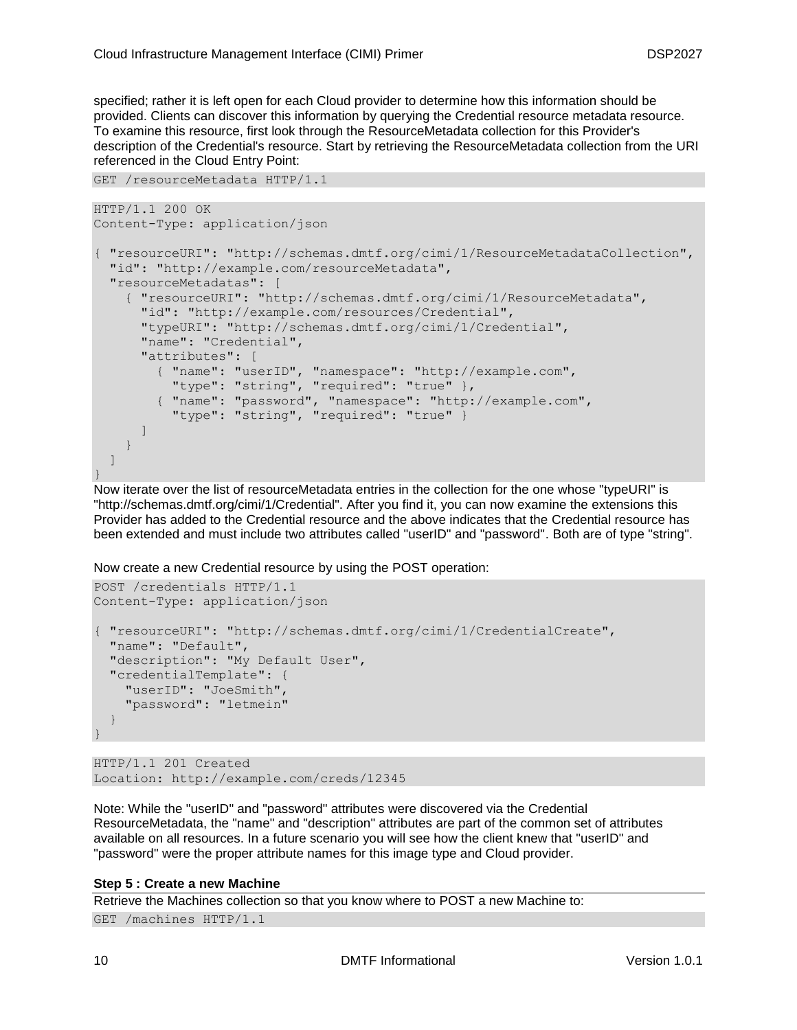specified; rather it is left open for each Cloud provider to determine how this information should be provided. Clients can discover this information by querying the Credential resource metadata resource. To examine this resource, first look through the ResourceMetadata collection for this Provider's description of the Credential's resource. Start by retrieving the ResourceMetadata collection from the URI referenced in the Cloud Entry Point:

```
GET /resourceMetadata HTTP/1.1
```

```
HTTP/1.1 200 OK
Content-Type: application/json
{ "resourceURI": "http://schemas.dmtf.org/cimi/1/ResourceMetadataCollection",
   "id": "http://example.com/resourceMetadata",
   "resourceMetadatas": [
     { "resourceURI": "http://schemas.dmtf.org/cimi/1/ResourceMetadata",
       "id": "http://example.com/resources/Credential",
       "typeURI": "http://schemas.dmtf.org/cimi/1/Credential",
       "name": "Credential",
       "attributes": [
 { "name": "userID", "namespace": "http://example.com", 
 "type": "string", "required": "true" },
         { "name": "password", "namespace": "http://example.com",
           "type": "string", "required": "true" }
       ]
     }
   ]
}
```
Now iterate over the list of resourceMetadata entries in the collection for the one whose "typeURI" is "http://schemas.dmtf.org/cimi/1/Credential". After you find it, you can now examine the extensions this Provider has added to the Credential resource and the above indicates that the Credential resource has been extended and must include two attributes called "userID" and "password". Both are of type "string".

Now create a new Credential resource by using the POST operation:

```
POST /credentials HTTP/1.1
Content-Type: application/json
{ "resourceURI": "http://schemas.dmtf.org/cimi/1/CredentialCreate",
   "name": "Default",
   "description": "My Default User",
   "credentialTemplate": {
     "userID": "JoeSmith",
     "password": "letmein"
   }
}
```
HTTP/1.1 201 Created Location: http://example.com/creds/12345

Note: While the "userID" and "password" attributes were discovered via the Credential ResourceMetadata, the "name" and "description" attributes are part of the common set of attributes available on all resources. In a future scenario you will see how the client knew that "userID" and "password" were the proper attribute names for this image type and Cloud provider.

### <span id="page-9-0"></span>**Step 5 : Create a new Machine**

Retrieve the Machines collection so that you know where to POST a new Machine to:

GET /machines HTTP/1.1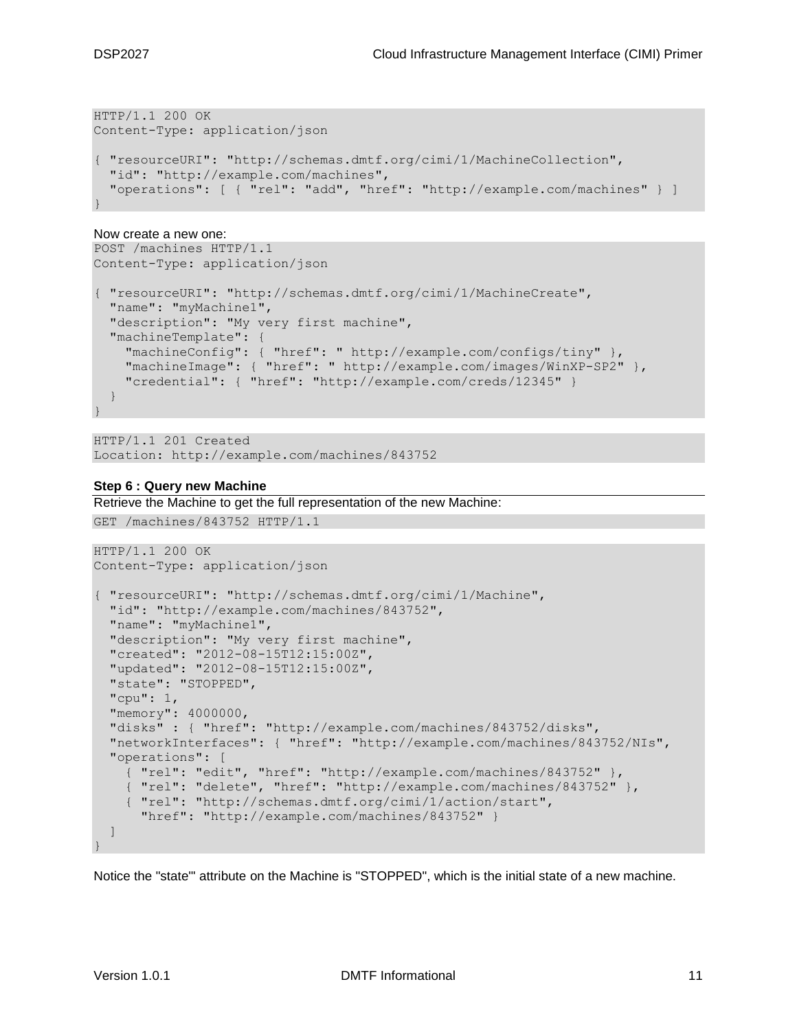```
HTTP/1.1 200 OK
Content-Type: application/json
{ "resourceURI": "http://schemas.dmtf.org/cimi/1/MachineCollection",
  "id": "http://example.com/machines",
   "operations": [ { "rel": "add", "href": "http://example.com/machines" } ]
}
```

```
Now create a new one:
```

```
POST /machines HTTP/1.1
Content-Type: application/json
{ "resourceURI": "http://schemas.dmtf.org/cimi/1/MachineCreate",
   "name": "myMachine1",
   "description": "My very first machine", 
   "machineTemplate": {
     "machineConfig": { "href": " http://example.com/configs/tiny" },
     "machineImage": { "href": " http://example.com/images/WinXP-SP2" }, 
     "credential": { "href": "http://example.com/creds/12345" }
   }
}
```
HTTP/1.1 201 Created Location: http://example.com/machines/843752

### <span id="page-10-0"></span>**Step 6 : Query new Machine**

```
Retrieve the Machine to get the full representation of the new Machine:
```

```
GET /machines/843752 HTTP/1.1
```

```
HTTP/1.1 200 OK
Content-Type: application/json
{ "resourceURI": "http://schemas.dmtf.org/cimi/1/Machine",
   "id": "http://example.com/machines/843752",
   "name": "myMachine1",
   "description": "My very first machine",
   "created": "2012-08-15T12:15:00Z", 
   "updated": "2012-08-15T12:15:00Z", 
   "state": "STOPPED",
   "cpu": 1,
  "memory": 4000000,
   "disks" : { "href": "http://example.com/machines/843752/disks",
   "networkInterfaces": { "href": "http://example.com/machines/843752/NIs",
   "operations": [
     { "rel": "edit", "href": "http://example.com/machines/843752" },
     { "rel": "delete", "href": "http://example.com/machines/843752" },
     { "rel": "http://schemas.dmtf.org/cimi/1/action/start", 
       "href": "http://example.com/machines/843752" }
  \mathbf{I}}
```
Notice the "state"' attribute on the Machine is "STOPPED", which is the initial state of a new machine.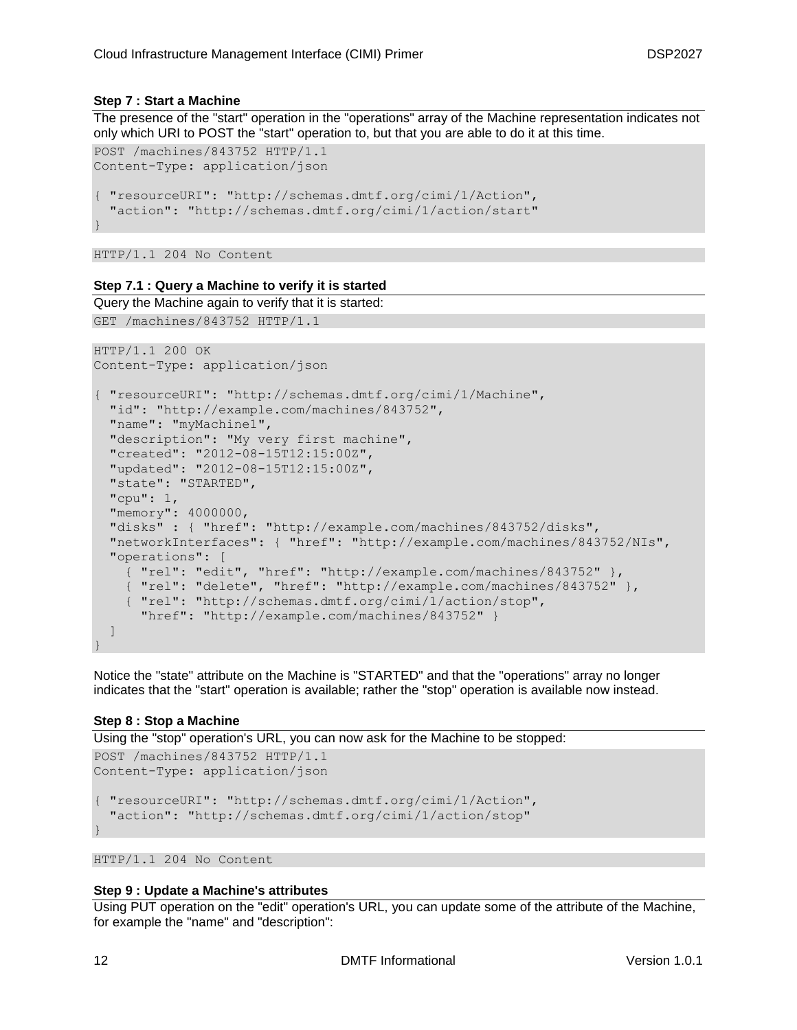### <span id="page-11-0"></span>**Step 7 : Start a Machine**

The presence of the "start" operation in the "operations" array of the Machine representation indicates not only which URI to POST the "start" operation to, but that you are able to do it at this time.

```
POST /machines/843752 HTTP/1.1
Content-Type: application/json
{ "resourceURI": "http://schemas.dmtf.org/cimi/1/Action",
   "action": "http://schemas.dmtf.org/cimi/1/action/start" 
}
```
HTTP/1.1 204 No Content

#### **Step 7.1 : Query a Machine to verify it is started**

Query the Machine again to verify that it is started: GET /machines/843752 HTTP/1.1

```
HTTP/1.1 200 OK
Content-Type: application/json
{ "resourceURI": "http://schemas.dmtf.org/cimi/1/Machine",
   "id": "http://example.com/machines/843752",
   "name": "myMachine1",
   "description": "My very first machine",
   "created": "2012-08-15T12:15:00Z", 
   "updated": "2012-08-15T12:15:00Z", 
   "state": "STARTED",
   "cpu": 1,
  "memory": 4000000,
   "disks" : { "href": "http://example.com/machines/843752/disks",
   "networkInterfaces": { "href": "http://example.com/machines/843752/NIs",
   "operations": [
     { "rel": "edit", "href": "http://example.com/machines/843752" },
     { "rel": "delete", "href": "http://example.com/machines/843752" },
     { "rel": "http://schemas.dmtf.org/cimi/1/action/stop", 
       "href": "http://example.com/machines/843752" }
  \lceil}
```
Notice the "state" attribute on the Machine is "STARTED" and that the "operations" array no longer indicates that the "start" operation is available; rather the "stop" operation is available now instead.

#### <span id="page-11-1"></span>**Step 8 : Stop a Machine**

```
Using the "stop" operation's URL, you can now ask for the Machine to be stopped:
POST /machines/843752 HTTP/1.1
Content-Type: application/json
{ "resourceURI": "http://schemas.dmtf.org/cimi/1/Action",
   "action": "http://schemas.dmtf.org/cimi/1/action/stop"
```
<span id="page-11-2"></span>HTTP/1.1 204 No Content

#### **Step 9 : Update a Machine's attributes**

Using PUT operation on the "edit" operation's URL, you can update some of the attribute of the Machine, for example the "name" and "description":

}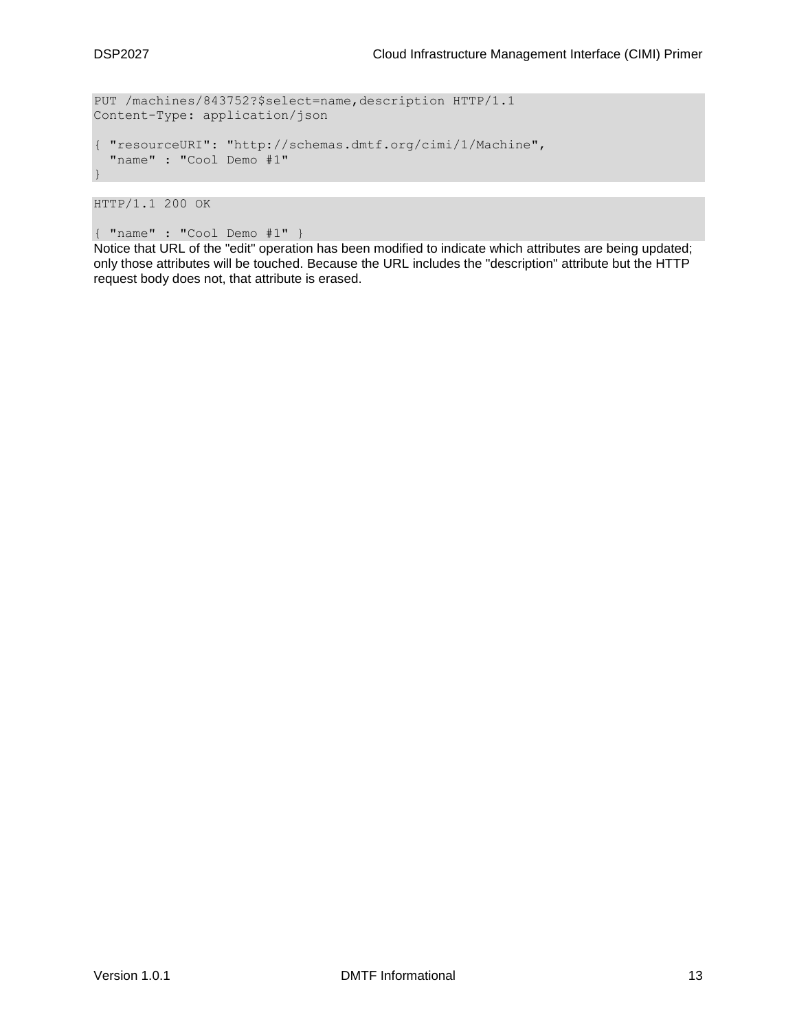PUT /machines/843752?\$select=name,description HTTP/1.1 Content-Type: application/json

```
{ "resourceURI": "http://schemas.dmtf.org/cimi/1/Machine",
  "name" : "Cool Demo #1" 
}
```
HTTP/1.1 200 OK

{ "name" : "Cool Demo #1" }

Notice that URL of the "edit" operation has been modified to indicate which attributes are being updated; only those attributes will be touched. Because the URL includes the "description" attribute but the HTTP request body does not, that attribute is erased.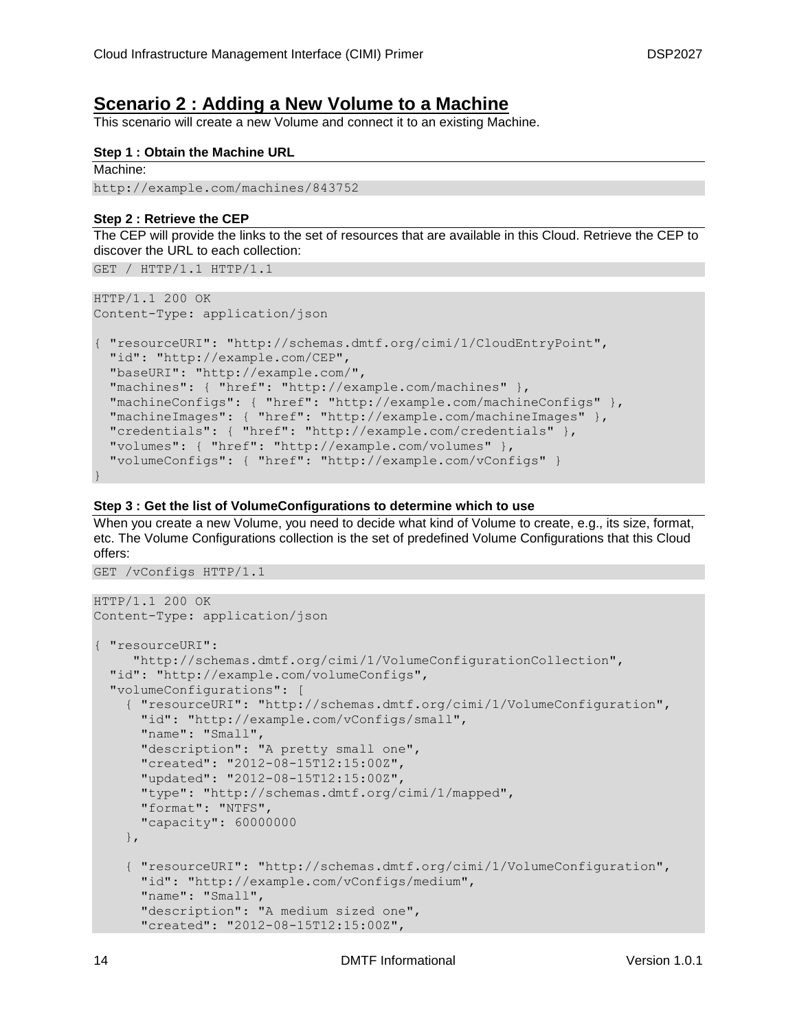# <span id="page-13-0"></span>**Scenario 2 : Adding a New Volume to a Machine**

<span id="page-13-1"></span>This scenario will create a new Volume and connect it to an existing Machine.

#### **Step 1 : Obtain the Machine URL**

```
Machine:
http://example.com/machines/843752
```
### <span id="page-13-2"></span>**Step 2 : Retrieve the CEP**

The CEP will provide the links to the set of resources that are available in this Cloud. Retrieve the CEP to discover the URL to each collection:

```
GET / HTTP/1.1 HTTP/1.1
```

```
HTTP/1.1 200 OK
Content-Type: application/json
```

```
{ "resourceURI": "http://schemas.dmtf.org/cimi/1/CloudEntryPoint",
  "id": "http://example.com/CEP",
  "baseURI": "http://example.com/",
  "machines": { "href": "http://example.com/machines" },
  "machineConfigs": { "href": "http://example.com/machineConfigs" },
  "machineImages": { "href": "http://example.com/machineImages" },
  "credentials": { "href": "http://example.com/credentials" }, 
  "volumes": { "href": "http://example.com/volumes" },
  "volumeConfigs": { "href": "http://example.com/vConfigs" }
}
```
#### <span id="page-13-3"></span>**Step 3 : Get the list of VolumeConfigurations to determine which to use**

When you create a new Volume, you need to decide what kind of Volume to create, e.g., its size, format, etc. The Volume Configurations collection is the set of predefined Volume Configurations that this Cloud offers:

```
GET /vConfigs HTTP/1.1
HTTP/1.1 200 OK
Content-Type: application/json
{ "resourceURI": 
      "http://schemas.dmtf.org/cimi/1/VolumeConfigurationCollection",
   "id": "http://example.com/volumeConfigs",
   "volumeConfigurations": [
     { "resourceURI": "http://schemas.dmtf.org/cimi/1/VolumeConfiguration",
       "id": "http://example.com/vConfigs/small",
       "name": "Small",
       "description": "A pretty small one", 
       "created": "2012-08-15T12:15:00Z",
       "updated": "2012-08-15T12:15:00Z",
       "type": "http://schemas.dmtf.org/cimi/1/mapped",
       "format": "NTFS",
       "capacity": 60000000
     },
     { "resourceURI": "http://schemas.dmtf.org/cimi/1/VolumeConfiguration",
       "id": "http://example.com/vConfigs/medium",
       "name": "Small",
       "description": "A medium sized one", 
       "created": "2012-08-15T12:15:00Z",
```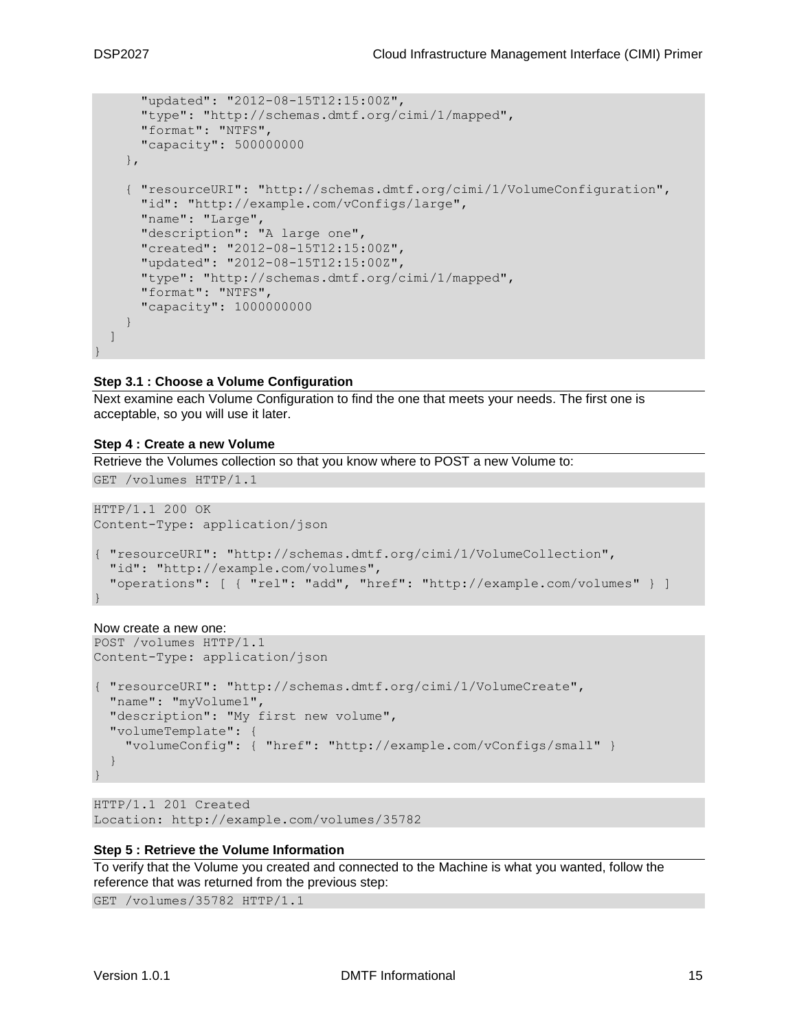}

```
 "updated": "2012-08-15T12:15:00Z",
       "type": "http://schemas.dmtf.org/cimi/1/mapped",
       "format": "NTFS",
       "capacity": 500000000
     },
     { "resourceURI": "http://schemas.dmtf.org/cimi/1/VolumeConfiguration",
       "id": "http://example.com/vConfigs/large",
       "name": "Large",
       "description": "A large one", 
       "created": "2012-08-15T12:15:00Z",
       "updated": "2012-08-15T12:15:00Z",
       "type": "http://schemas.dmtf.org/cimi/1/mapped",
       "format": "NTFS",
       "capacity": 1000000000
 }
  ]
```
### **Step 3.1 : Choose a Volume Configuration**

Next examine each Volume Configuration to find the one that meets your needs. The first one is acceptable, so you will use it later.

#### <span id="page-14-0"></span>**Step 4 : Create a new Volume**

```
Retrieve the Volumes collection so that you know where to POST a new Volume to:
GET /volumes HTTP/1.1
HTTP/1.1 200 OK
Content-Type: application/json
{ "resourceURI": "http://schemas.dmtf.org/cimi/1/VolumeCollection",
   "id": "http://example.com/volumes",
   "operations": [ { "rel": "add", "href": "http://example.com/volumes" } ]
}
```
#### Now create a new one:

```
POST /volumes HTTP/1.1
Content-Type: application/json
{ "resourceURI": "http://schemas.dmtf.org/cimi/1/VolumeCreate",
  "name": "myVolume1",
  "description": "My first new volume",
   "volumeTemplate": {
     "volumeConfig": { "href": "http://example.com/vConfigs/small" }
   }
}
```

```
HTTP/1.1 201 Created
Location: http://example.com/volumes/35782
```
#### <span id="page-14-1"></span>**Step 5 : Retrieve the Volume Information**

To verify that the Volume you created and connected to the Machine is what you wanted, follow the reference that was returned from the previous step:

GET /volumes/35782 HTTP/1.1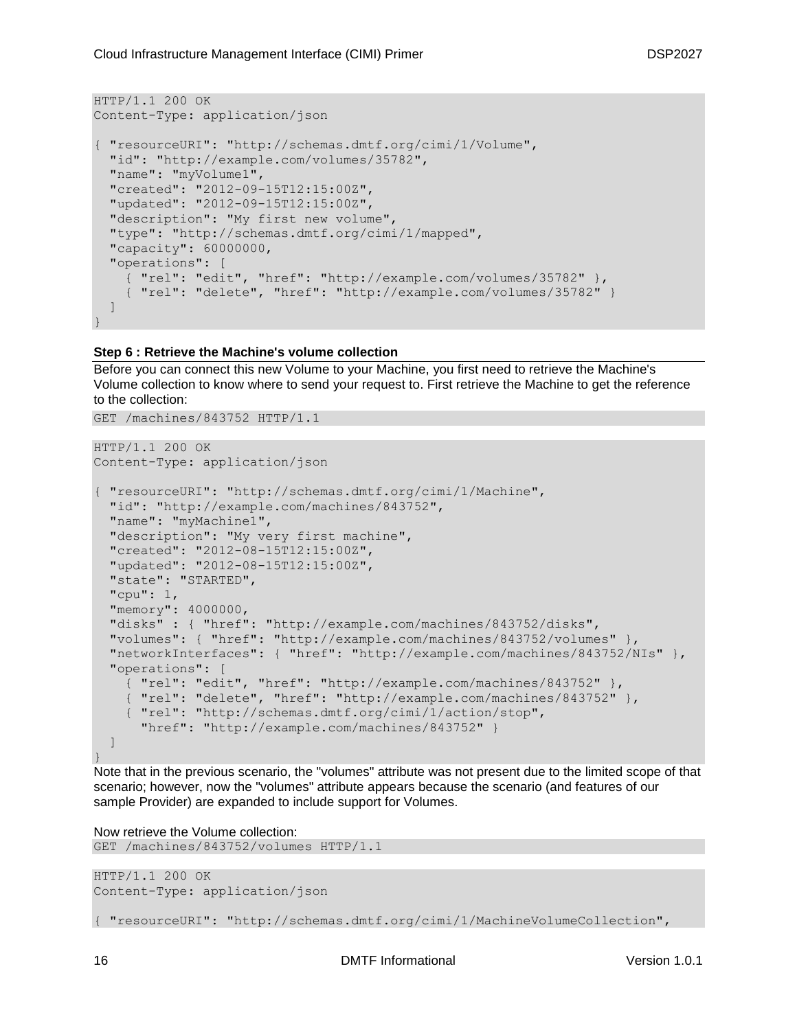```
HTTP/1.1 200 OK
Content-Type: application/json
{ "resourceURI": "http://schemas.dmtf.org/cimi/1/Volume",
   "id": "http://example.com/volumes/35782",
   "name": "myVolume1",
   "created": "2012-09-15T12:15:00Z",
   "updated": "2012-09-15T12:15:00Z",
  "description": "My first new volume",
   "type": "http://schemas.dmtf.org/cimi/1/mapped",
  "capacity": 60000000,
   "operations": [
     { "rel": "edit", "href": "http://example.com/volumes/35782" },
     { "rel": "delete", "href": "http://example.com/volumes/35782" }
   ]
}
```
#### <span id="page-15-0"></span>**Step 6 : Retrieve the Machine's volume collection**

Before you can connect this new Volume to your Machine, you first need to retrieve the Machine's Volume collection to know where to send your request to. First retrieve the Machine to get the reference to the collection:

```
GET /machines/843752 HTTP/1.1
```

```
HTTP/1.1 200 OK
Content-Type: application/json
{ "resourceURI": "http://schemas.dmtf.org/cimi/1/Machine",
   "id": "http://example.com/machines/843752",
   "name": "myMachine1",
   "description": "My very first machine",
   "created": "2012-08-15T12:15:00Z", 
   "updated": "2012-08-15T12:15:00Z", 
   "state": "STARTED",
   "cpu": 1,
  "memory": 4000000,
   "disks" : { "href": "http://example.com/machines/843752/disks",
   "volumes": { "href": "http://example.com/machines/843752/volumes" },
   "networkInterfaces": { "href": "http://example.com/machines/843752/NIs" },
   "operations": [
     { "rel": "edit", "href": "http://example.com/machines/843752" },
     { "rel": "delete", "href": "http://example.com/machines/843752" },
     { "rel": "http://schemas.dmtf.org/cimi/1/action/stop", 
       "href": "http://example.com/machines/843752" }
   ]
}
```
Note that in the previous scenario, the "volumes" attribute was not present due to the limited scope of that scenario; however, now the "volumes" attribute appears because the scenario (and features of our sample Provider) are expanded to include support for Volumes.

```
Now retrieve the Volume collection:
GET /machines/843752/volumes HTTP/1.1
```

```
HTTP/1.1 200 OK
Content-Type: application/json
{ "resourceURI": "http://schemas.dmtf.org/cimi/1/MachineVolumeCollection",
```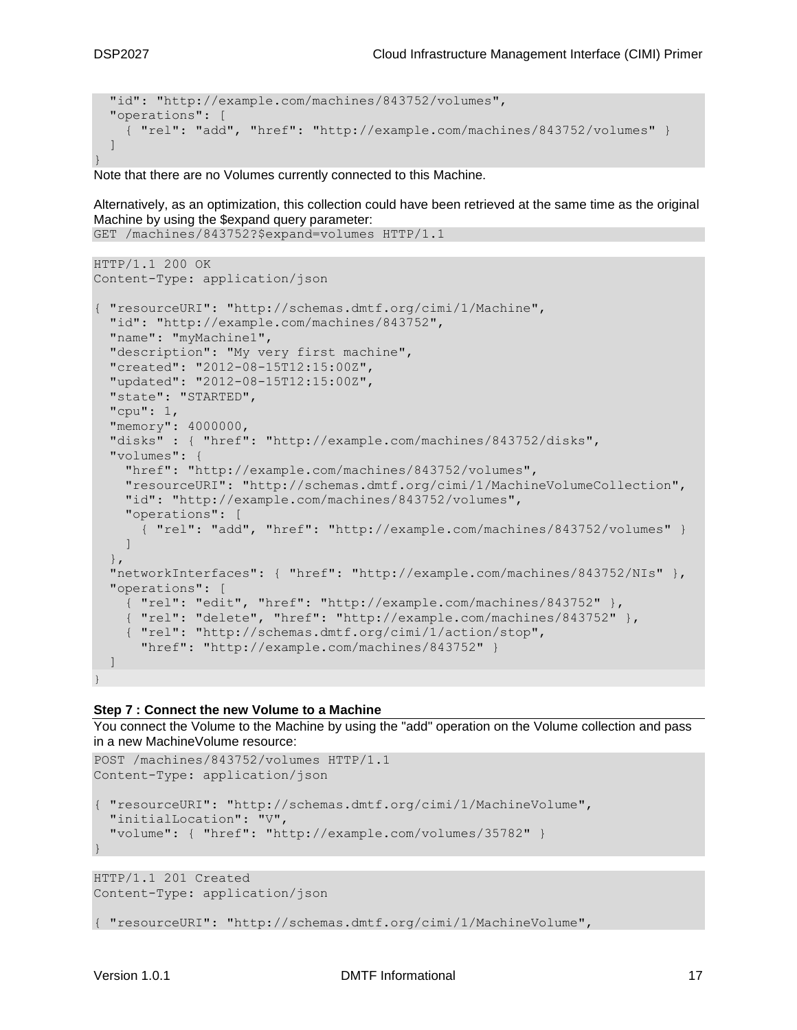}

```
 "id": "http://example.com/machines/843752/volumes",
 "operations": [
   { "rel": "add", "href": "http://example.com/machines/843752/volumes" }
 ]
```
Note that there are no Volumes currently connected to this Machine.

Alternatively, as an optimization, this collection could have been retrieved at the same time as the original Machine by using the \$expand query parameter:

```
GET /machines/843752?$expand=volumes HTTP/1.1
```

```
HTTP/1.1 200 OK
Content-Type: application/json
{ "resourceURI": "http://schemas.dmtf.org/cimi/1/Machine",
   "id": "http://example.com/machines/843752",
   "name": "myMachine1",
   "description": "My very first machine",
   "created": "2012-08-15T12:15:00Z", 
   "updated": "2012-08-15T12:15:00Z", 
   "state": "STARTED",
   "cpu": 1,
  "memory": 4000000,
   "disks" : { "href": "http://example.com/machines/843752/disks",
   "volumes": { 
     "href": "http://example.com/machines/843752/volumes",
     "resourceURI": "http://schemas.dmtf.org/cimi/1/MachineVolumeCollection",
     "id": "http://example.com/machines/843752/volumes",
     "operations": [
       { "rel": "add", "href": "http://example.com/machines/843752/volumes" }
    \mathbf{I} },
   "networkInterfaces": { "href": "http://example.com/machines/843752/NIs" },
   "operations": [
     { "rel": "edit", "href": "http://example.com/machines/843752" },
       { "rel": "delete", "href": "http://example.com/machines/843752" },
     { "rel": "http://schemas.dmtf.org/cimi/1/action/stop", 
       "href": "http://example.com/machines/843752" }
  \mathbf{I}}
```
### <span id="page-16-0"></span>**Step 7 : Connect the new Volume to a Machine**

You connect the Volume to the Machine by using the "add" operation on the Volume collection and pass in a new MachineVolume resource:

```
POST /machines/843752/volumes HTTP/1.1
Content-Type: application/json
{ "resourceURI": "http://schemas.dmtf.org/cimi/1/MachineVolume",
   "initialLocation": "V",
   "volume": { "href": "http://example.com/volumes/35782" }
}
```

```
HTTP/1.1 201 Created
Content-Type: application/json
```
{ "resourceURI": "http://schemas.dmtf.org/cimi/1/MachineVolume",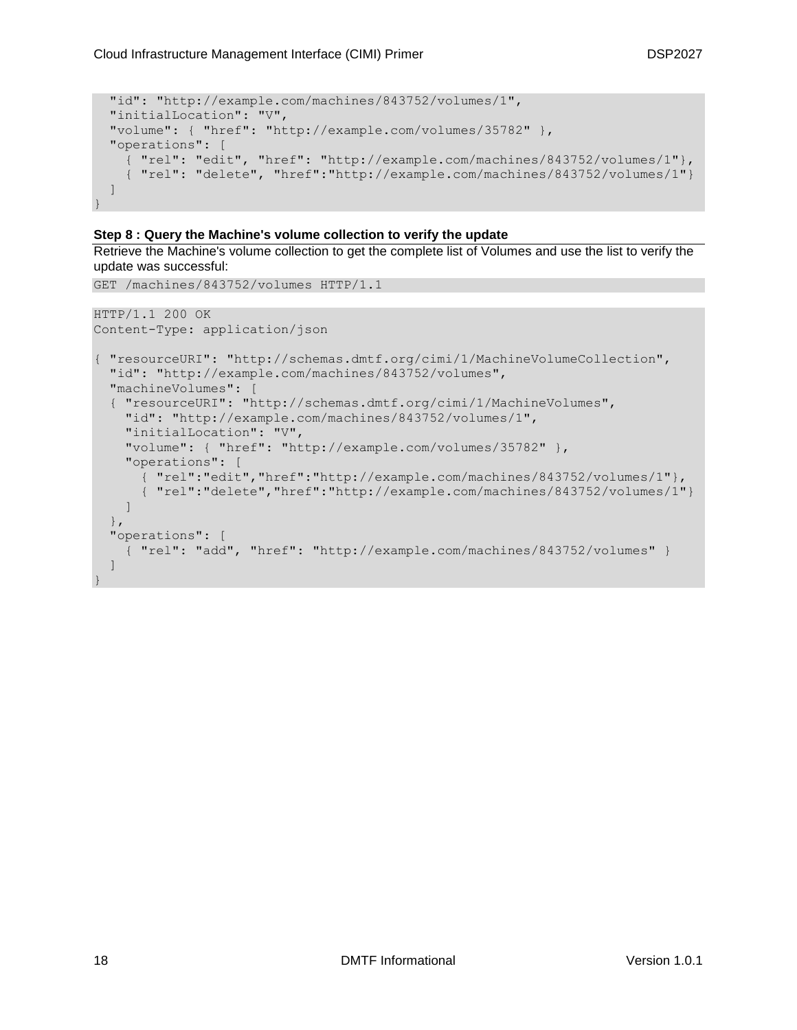GET /machines/843752/volumes HTTP/1.1

```
 "id": "http://example.com/machines/843752/volumes/1",
 "initialLocation": "V",
 "volume": { "href": "http://example.com/volumes/35782" },
 "operations": [
   { "rel": "edit", "href": "http://example.com/machines/843752/volumes/1"},
   { "rel": "delete", "href":"http://example.com/machines/843752/volumes/1"}
 ]
```
## **Step 8 : Query the Machine's volume collection to verify the update**

Retrieve the Machine's volume collection to get the complete list of Volumes and use the list to verify the update was successful:

```
HTTP/1.1 200 OK
Content-Type: application/json
{ "resourceURI": "http://schemas.dmtf.org/cimi/1/MachineVolumeCollection",
   "id": "http://example.com/machines/843752/volumes",
   "machineVolumes": [
   { "resourceURI": "http://schemas.dmtf.org/cimi/1/MachineVolumes",
     "id": "http://example.com/machines/843752/volumes/1",
     "initialLocation": "V",
     "volume": { "href": "http://example.com/volumes/35782" },
     "operations": [
       { "rel":"edit","href":"http://example.com/machines/843752/volumes/1"},
       { "rel":"delete","href":"http://example.com/machines/843752/volumes/1"}
     ]
   },
   "operations": [
     { "rel": "add", "href": "http://example.com/machines/843752/volumes" }
   ]
}
```
<span id="page-17-0"></span>}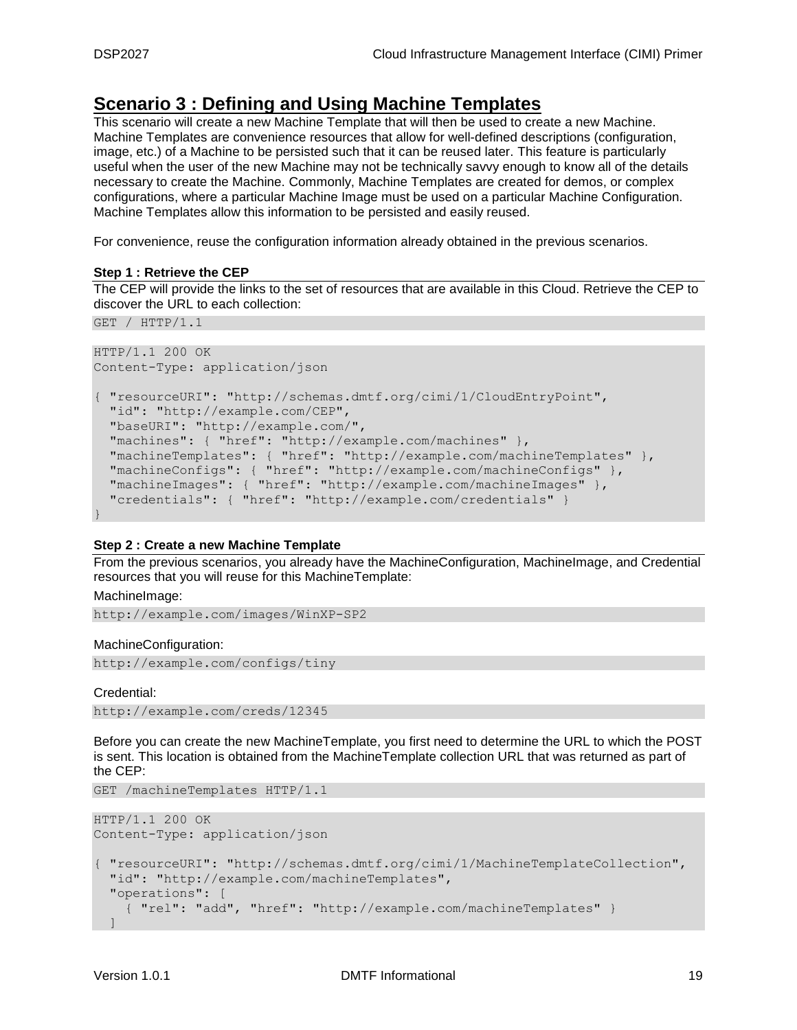# <span id="page-18-0"></span>**Scenario 3 : Defining and Using Machine Templates**

This scenario will create a new Machine Template that will then be used to create a new Machine. Machine Templates are convenience resources that allow for well-defined descriptions (configuration, image, etc.) of a Machine to be persisted such that it can be reused later. This feature is particularly useful when the user of the new Machine may not be technically savvy enough to know all of the details necessary to create the Machine. Commonly, Machine Templates are created for demos, or complex configurations, where a particular Machine Image must be used on a particular Machine Configuration. Machine Templates allow this information to be persisted and easily reused.

<span id="page-18-1"></span>For convenience, reuse the configuration information already obtained in the previous scenarios.

#### **Step 1 : Retrieve the CEP**

The CEP will provide the links to the set of resources that are available in this Cloud. Retrieve the CEP to discover the URL to each collection:

GET / HTTP/1.1

```
HTTP/1.1 200 OK
Content-Type: application/json
```

```
{ "resourceURI": "http://schemas.dmtf.org/cimi/1/CloudEntryPoint",
   "id": "http://example.com/CEP",
  "baseURI": "http://example.com/",
  "machines": { "href": "http://example.com/machines" },
  "machineTemplates": { "href": "http://example.com/machineTemplates" },
  "machineConfigs": { "href": "http://example.com/machineConfigs" },
  "machineImages": { "href": "http://example.com/machineImages" },
  "credentials": { "href": "http://example.com/credentials" }
}
```
#### <span id="page-18-2"></span>**Step 2 : Create a new Machine Template**

From the previous scenarios, you already have the MachineConfiguration, MachineImage, and Credential resources that you will reuse for this MachineTemplate:

MachineImage:

```
http://example.com/images/WinXP-SP2
```
#### MachineConfiguration:

http://example.com/configs/tiny

#### Credential:

http://example.com/creds/12345

Before you can create the new MachineTemplate, you first need to determine the URL to which the POST is sent. This location is obtained from the MachineTemplate collection URL that was returned as part of the CEP:

```
GET /machineTemplates HTTP/1.1
```

```
HTTP/1.1 200 OK
Content-Type: application/json
{ "resourceURI": "http://schemas.dmtf.org/cimi/1/MachineTemplateCollection",
   "id": "http://example.com/machineTemplates",
   "operations": [
     { "rel": "add", "href": "http://example.com/machineTemplates" }
\blacksquare
```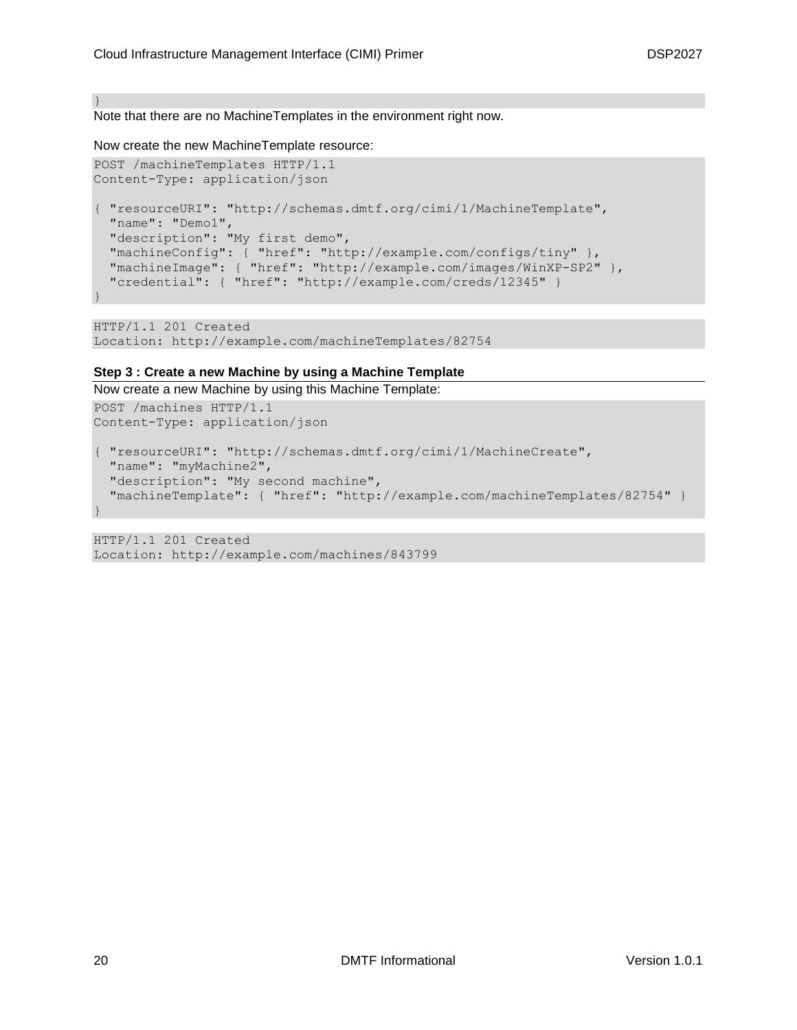Note that there are no MachineTemplates in the environment right now.

#### Now create the new MachineTemplate resource:

}

```
POST /machineTemplates HTTP/1.1
Content-Type: application/json
{ "resourceURI": "http://schemas.dmtf.org/cimi/1/MachineTemplate",
   "name": "Demo1",
  "description": "My first demo",
   "machineConfig": { "href": "http://example.com/configs/tiny" },
   "machineImage": { "href": "http://example.com/images/WinXP-SP2" }, 
   "credential": { "href": "http://example.com/creds/12345" }
}
```
HTTP/1.1 201 Created Location: http://example.com/machineTemplates/82754

# <span id="page-19-0"></span>**Step 3 : Create a new Machine by using a Machine Template**

Now create a new Machine by using this Machine Template:

```
POST /machines HTTP/1.1
Content-Type: application/json
{ "resourceURI": "http://schemas.dmtf.org/cimi/1/MachineCreate",
   "name": "myMachine2",
   "description": "My second machine",
   "machineTemplate": { "href": "http://example.com/machineTemplates/82754" }
}
```
HTTP/1.1 201 Created Location: http://example.com/machines/843799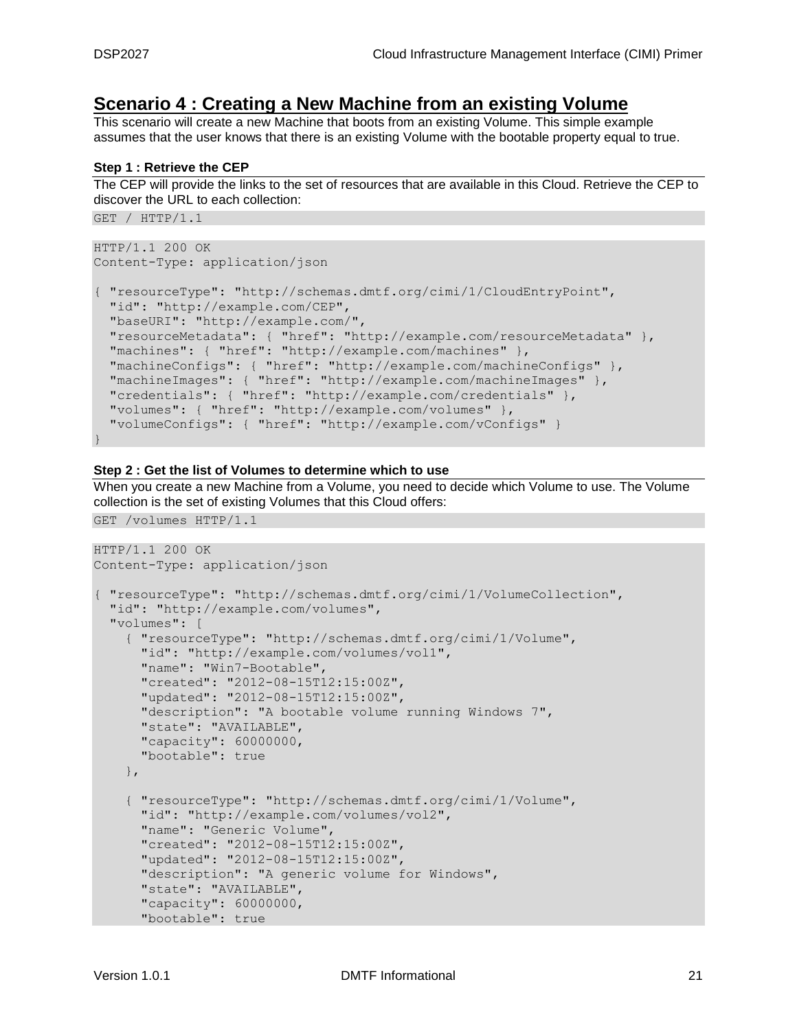# <span id="page-20-0"></span>**Scenario 4 : Creating a New Machine from an existing Volume**

This scenario will create a new Machine that boots from an existing Volume. This simple example assumes that the user knows that there is an existing Volume with the bootable property equal to true.

#### <span id="page-20-1"></span>**Step 1 : Retrieve the CEP**

The CEP will provide the links to the set of resources that are available in this Cloud. Retrieve the CEP to discover the URL to each collection:

```
GET / HTTP/1.1
HTTP/1.1 200 OK
Content-Type: application/json
{ "resourceType": "http://schemas.dmtf.org/cimi/1/CloudEntryPoint",
   "id": "http://example.com/CEP",
   "baseURI": "http://example.com/",
   "resourceMetadata": { "href": "http://example.com/resourceMetadata" },
   "machines": { "href": "http://example.com/machines" },
   "machineConfigs": { "href": "http://example.com/machineConfigs" },
   "machineImages": { "href": "http://example.com/machineImages" },
   "credentials": { "href": "http://example.com/credentials" }, 
  "volumes": { "href": "http://example.com/volumes" },
   "volumeConfigs": { "href": "http://example.com/vConfigs" }
```
#### **Step 2 : Get the list of Volumes to determine which to use**

When you create a new Machine from a Volume, you need to decide which Volume to use. The Volume collection is the set of existing Volumes that this Cloud offers:

```
GET /volumes HTTP/1.1
```
<span id="page-20-2"></span>}

```
HTTP/1.1 200 OK
Content-Type: application/json
{ "resourceType": "http://schemas.dmtf.org/cimi/1/VolumeCollection",
   "id": "http://example.com/volumes",
   "volumes": [
     { "resourceType": "http://schemas.dmtf.org/cimi/1/Volume",
       "id": "http://example.com/volumes/vol1",
       "name": "Win7-Bootable",
       "created": "2012-08-15T12:15:00Z",
       "updated": "2012-08-15T12:15:00Z",
       "description": "A bootable volume running Windows 7", 
       "state": "AVAILABLE",
      "capacity": 60000000,
       "bootable": true
     },
     { "resourceType": "http://schemas.dmtf.org/cimi/1/Volume",
       "id": "http://example.com/volumes/vol2",
       "name": "Generic Volume",
       "created": "2012-08-15T12:15:00Z",
       "updated": "2012-08-15T12:15:00Z",
       "description": "A generic volume for Windows", 
       "state": "AVAILABLE",
      "capacity": 60000000,
       "bootable": true
```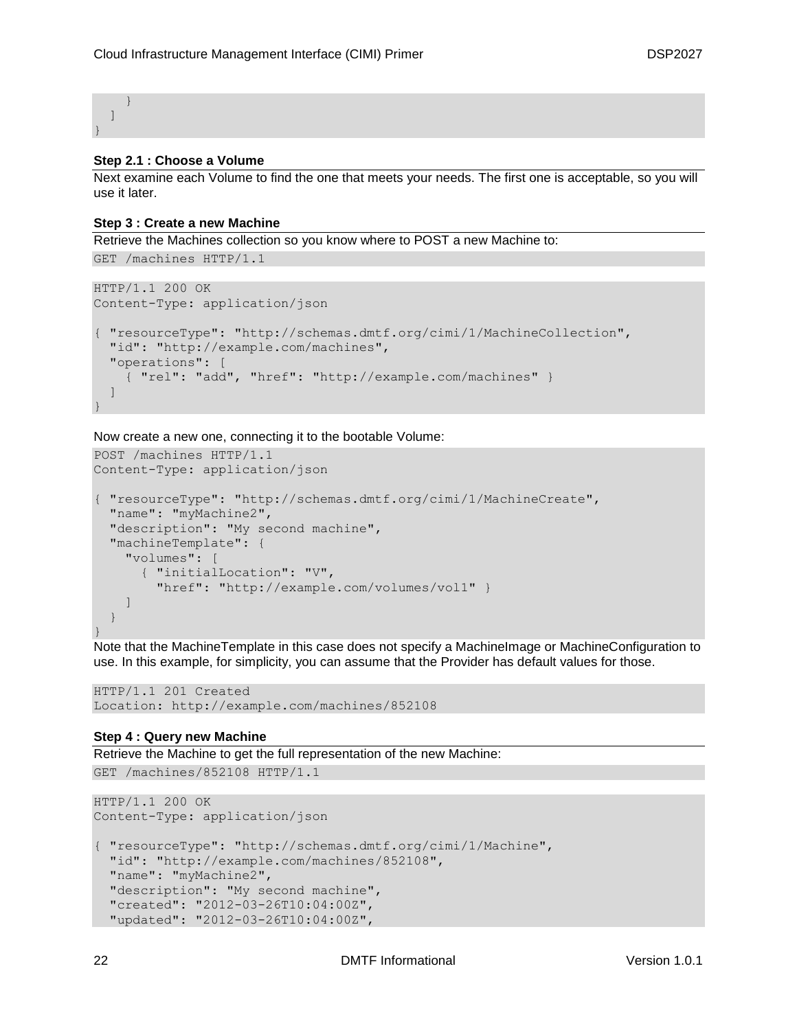] }

}

### **Step 2.1 : Choose a Volume**

Next examine each Volume to find the one that meets your needs. The first one is acceptable, so you will use it later.

#### <span id="page-21-0"></span>**Step 3 : Create a new Machine**

Retrieve the Machines collection so you know where to POST a new Machine to: GET /machines HTTP/1.1

```
HTTP/1.1 200 OK
Content-Type: application/json
{ "resourceType": "http://schemas.dmtf.org/cimi/1/MachineCollection",
   "id": "http://example.com/machines",
   "operations": [
     { "rel": "add", "href": "http://example.com/machines" }
   ]
}
```
Now create a new one, connecting it to the bootable Volume:

```
POST /machines HTTP/1.1
Content-Type: application/json
{ "resourceType": "http://schemas.dmtf.org/cimi/1/MachineCreate",
   "name": "myMachine2",
   "description": "My second machine", 
   "machineTemplate": {
     "volumes": [ 
       { "initialLocation": "V", 
         "href": "http://example.com/volumes/vol1" }
     ]
   }
}
```
Note that the MachineTemplate in this case does not specify a MachineImage or MachineConfiguration to use. In this example, for simplicity, you can assume that the Provider has default values for those.

```
HTTP/1.1 201 Created
Location: http://example.com/machines/852108
```
#### <span id="page-21-1"></span>**Step 4 : Query new Machine**

Retrieve the Machine to get the full representation of the new Machine:

```
GET /machines/852108 HTTP/1.1
```

```
HTTP/1.1 200 OK
Content-Type: application/json
{ "resourceType": "http://schemas.dmtf.org/cimi/1/Machine",
   "id": "http://example.com/machines/852108",
   "name": "myMachine2",
   "description": "My second machine",
   "created": "2012-03-26T10:04:00Z", 
   "updated": "2012-03-26T10:04:00Z",
```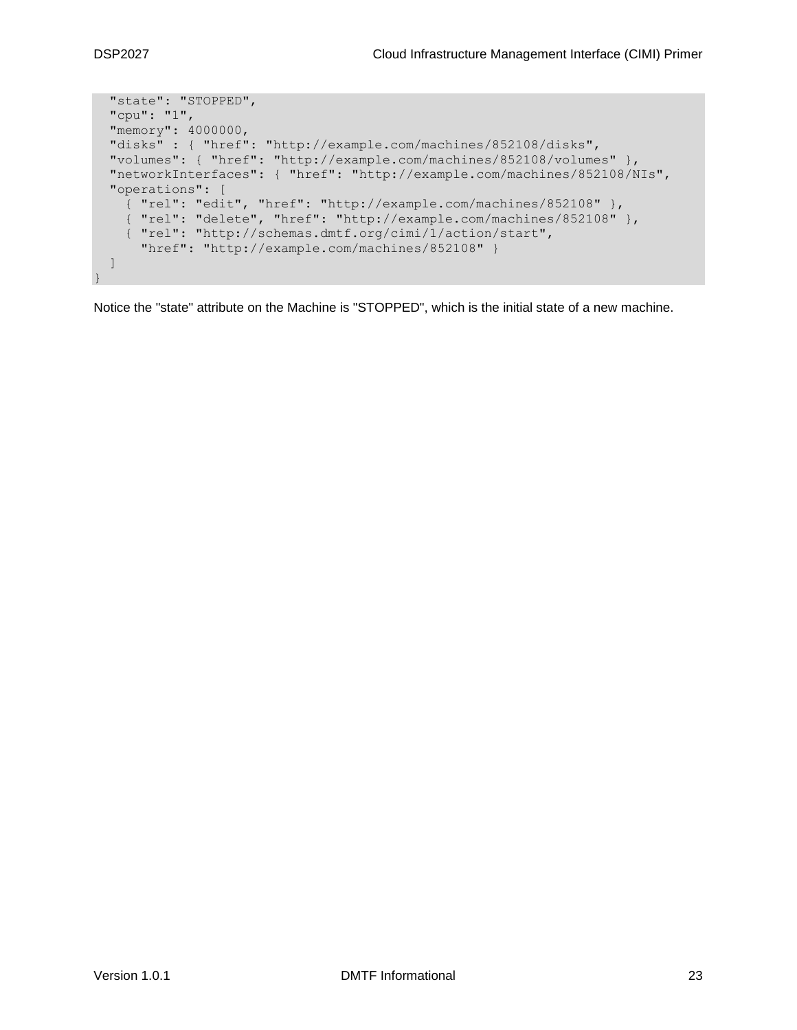}

```
 "state": "STOPPED",
 "cpu": "1",
"memory": 4000000,
 "disks" : { "href": "http://example.com/machines/852108/disks",
 "volumes": { "href": "http://example.com/machines/852108/volumes" },
 "networkInterfaces": { "href": "http://example.com/machines/852108/NIs",
 "operations": [
   { "rel": "edit", "href": "http://example.com/machines/852108" },
   { "rel": "delete", "href": "http://example.com/machines/852108" },
  { "rel": "http://schemas.dmtf.org/cimi/1/action/start", 
    "href": "http://example.com/machines/852108" }
 ]
```
Notice the "state" attribute on the Machine is "STOPPED", which is the initial state of a new machine.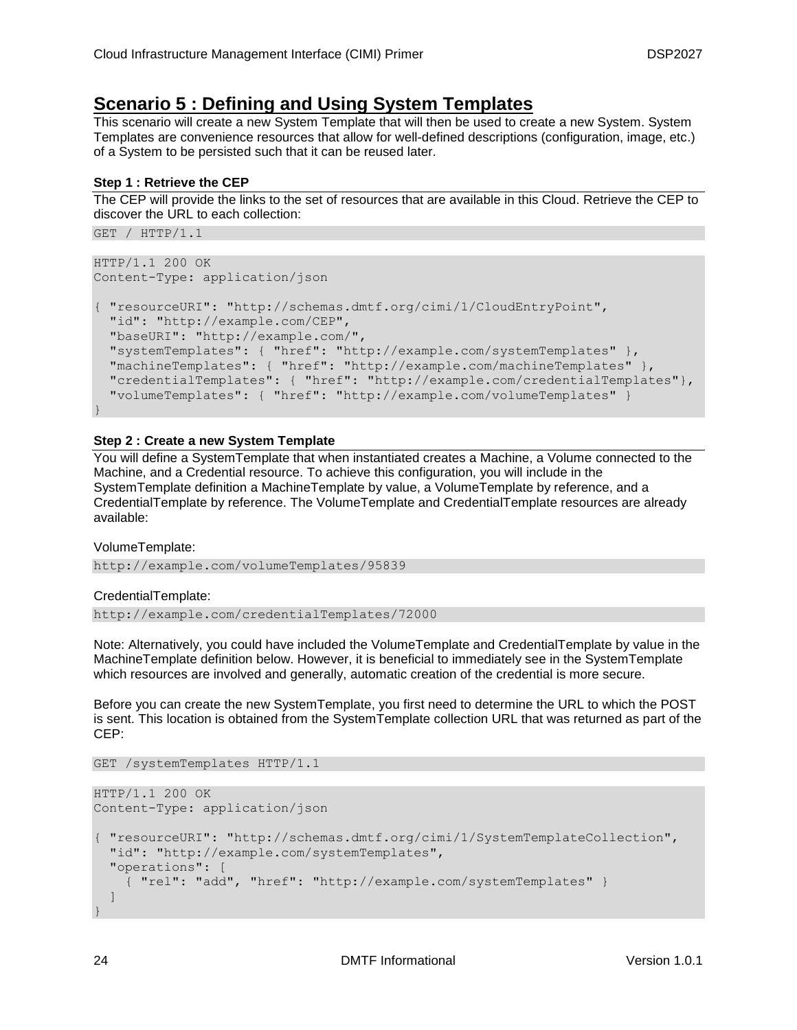# <span id="page-23-0"></span>**Scenario 5 : Defining and Using System Templates**

This scenario will create a new System Template that will then be used to create a new System. System Templates are convenience resources that allow for well-defined descriptions (configuration, image, etc.) of a System to be persisted such that it can be reused later.

# <span id="page-23-1"></span>**Step 1 : Retrieve the CEP**

The CEP will provide the links to the set of resources that are available in this Cloud. Retrieve the CEP to discover the URL to each collection:

```
GET / HTTP/1.1
```

```
HTTP/1.1 200 OK
Content-Type: application/json
{ "resourceURI": "http://schemas.dmtf.org/cimi/1/CloudEntryPoint",
   "id": "http://example.com/CEP",
   "baseURI": "http://example.com/",
   "systemTemplates": { "href": "http://example.com/systemTemplates" },
   "machineTemplates": { "href": "http://example.com/machineTemplates" },
   "credentialTemplates": { "href": "http://example.com/credentialTemplates"}, 
   "volumeTemplates": { "href": "http://example.com/volumeTemplates" }
}
```
# <span id="page-23-2"></span>**Step 2 : Create a new System Template**

You will define a SystemTemplate that when instantiated creates a Machine, a Volume connected to the Machine, and a Credential resource. To achieve this configuration, you will include in the SystemTemplate definition a MachineTemplate by value, a VolumeTemplate by reference, and a CredentialTemplate by reference. The VolumeTemplate and CredentialTemplate resources are already available:

VolumeTemplate:

http://example.com/volumeTemplates/95839

CredentialTemplate:

http://example.com/credentialTemplates/72000

Note: Alternatively, you could have included the VolumeTemplate and CredentialTemplate by value in the MachineTemplate definition below. However, it is beneficial to immediately see in the SystemTemplate which resources are involved and generally, automatic creation of the credential is more secure.

Before you can create the new SystemTemplate, you first need to determine the URL to which the POST is sent. This location is obtained from the SystemTemplate collection URL that was returned as part of the CEP:

```
GET /systemTemplates HTTP/1.1
```

```
HTTP/1.1 200 OK
Content-Type: application/json
{ "resourceURI": "http://schemas.dmtf.org/cimi/1/SystemTemplateCollection",
   "id": "http://example.com/systemTemplates",
   "operations": [
     { "rel": "add", "href": "http://example.com/systemTemplates" }
   ] 
}
```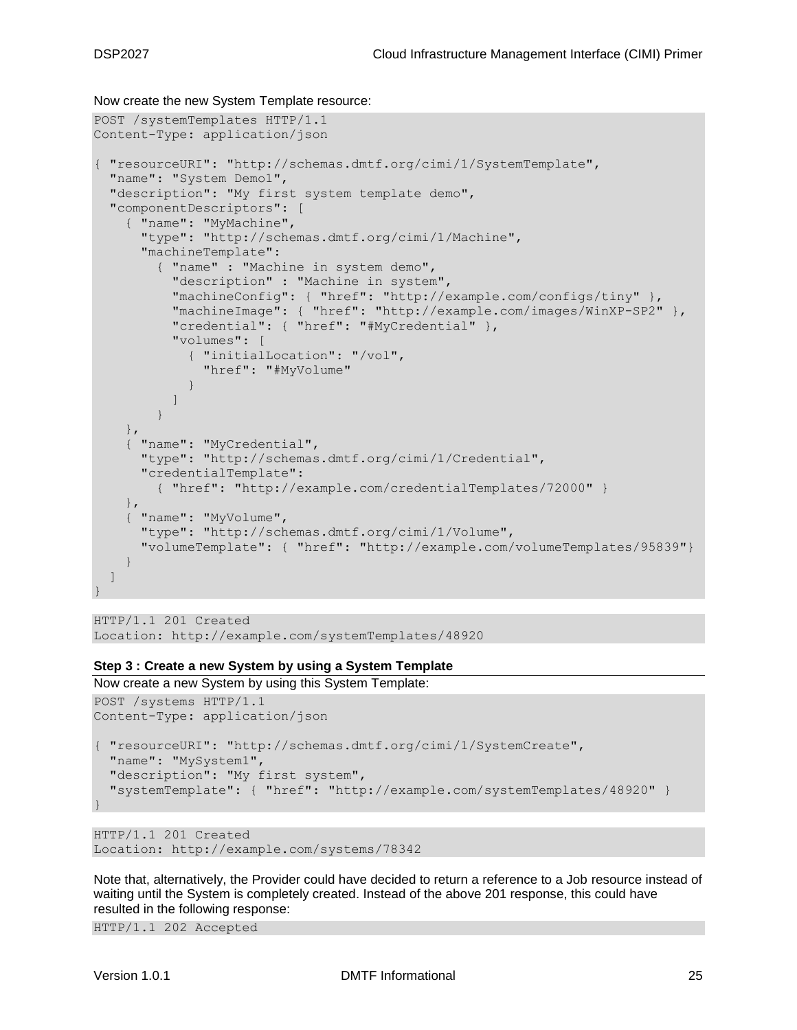Now create the new System Template resource:

```
POST /systemTemplates HTTP/1.1
Content-Type: application/json
{ "resourceURI": "http://schemas.dmtf.org/cimi/1/SystemTemplate",
  "name": "System Demo1",
   "description": "My first system template demo",
   "componentDescriptors": [
     { "name": "MyMachine",
      "type": "http://schemas.dmtf.org/cimi/1/Machine",
       "machineTemplate":
         { "name" : "Machine in system demo", 
           "description" : "Machine in system",
           "machineConfig": { "href": "http://example.com/configs/tiny" },
           "machineImage": { "href": "http://example.com/images/WinXP-SP2" },
           "credential": { "href": "#MyCredential" },
           "volumes": [
             { "initialLocation": "/vol",
               "href": "#MyVolume"
 }
           ]
         }
     },
     { "name": "MyCredential",
      "type": "http://schemas.dmtf.org/cimi/1/Credential",
       "credentialTemplate": 
         { "href": "http://example.com/credentialTemplates/72000" }
     },
     { "name": "MyVolume",
       "type": "http://schemas.dmtf.org/cimi/1/Volume",
       "volumeTemplate": { "href": "http://example.com/volumeTemplates/95839"}
     }
   ]
}
```
HTTP/1.1 201 Created Location: http://example.com/systemTemplates/48920

### <span id="page-24-0"></span>**Step 3 : Create a new System by using a System Template**

```
Now create a new System by using this System Template:
POST /systems HTTP/1.1
Content-Type: application/json
{ "resourceURI": "http://schemas.dmtf.org/cimi/1/SystemCreate",
  "name": "MySystem1",
  "description": "My first system",
   "systemTemplate": { "href": "http://example.com/systemTemplates/48920" }
}
```

```
HTTP/1.1 201 Created
Location: http://example.com/systems/78342
```
Note that, alternatively, the Provider could have decided to return a reference to a Job resource instead of waiting until the System is completely created. Instead of the above 201 response, this could have resulted in the following response:

HTTP/1.1 202 Accepted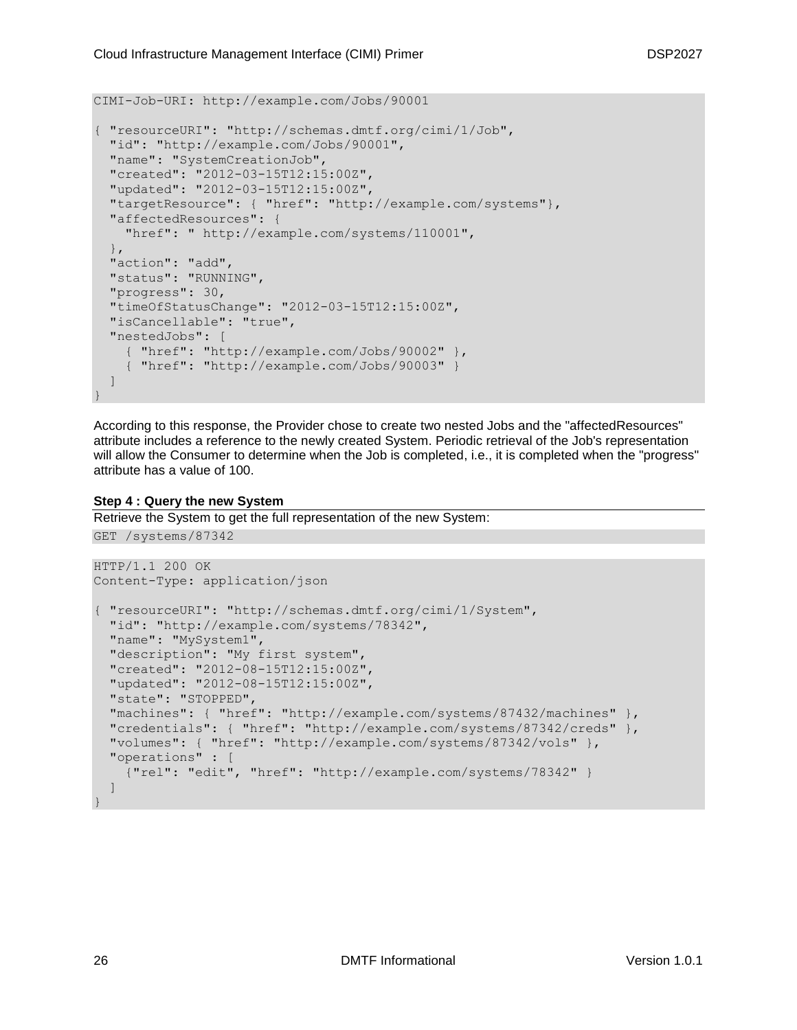```
CIMI-Job-URI: http://example.com/Jobs/90001
```

```
{ "resourceURI": "http://schemas.dmtf.org/cimi/1/Job",
  "id": "http://example.com/Jobs/90001",
  "name": "SystemCreationJob",
  "created": "2012-03-15T12:15:00Z", 
  "updated": "2012-03-15T12:15:00Z", 
   "targetResource": { "href": "http://example.com/systems"}, 
   "affectedResources": {
    "href": " http://example.com/systems/110001",
  },
  "action": "add",
  "status": "RUNNING",
   "progress": 30,
   "timeOfStatusChange": "2012-03-15T12:15:00Z",
   "isCancellable": "true",
   "nestedJobs": [
     { "href": "http://example.com/Jobs/90002" },
     { "href": "http://example.com/Jobs/90003" }
 \mathbf{I}}
```
According to this response, the Provider chose to create two nested Jobs and the "affectedResources" attribute includes a reference to the newly created System. Periodic retrieval of the Job's representation will allow the Consumer to determine when the Job is completed, i.e., it is completed when the "progress" attribute has a value of 100.

## <span id="page-25-0"></span>**Step 4 : Query the new System**

Retrieve the System to get the full representation of the new System: GET /systems/87342

```
HTTP/1.1 200 OK
Content-Type: application/json
{ "resourceURI": "http://schemas.dmtf.org/cimi/1/System",
   "id": "http://example.com/systems/78342",
  "name": "MySystem1",
   "description": "My first system",
   "created": "2012-08-15T12:15:00Z",
   "updated": "2012-08-15T12:15:00Z",
   "state": "STOPPED",
   "machines": { "href": "http://example.com/systems/87432/machines" },
   "credentials": { "href": "http://example.com/systems/87342/creds" },
   "volumes": { "href": "http://example.com/systems/87342/vols" },
   "operations" : [
     {"rel": "edit", "href": "http://example.com/systems/78342" }
   ]
}
```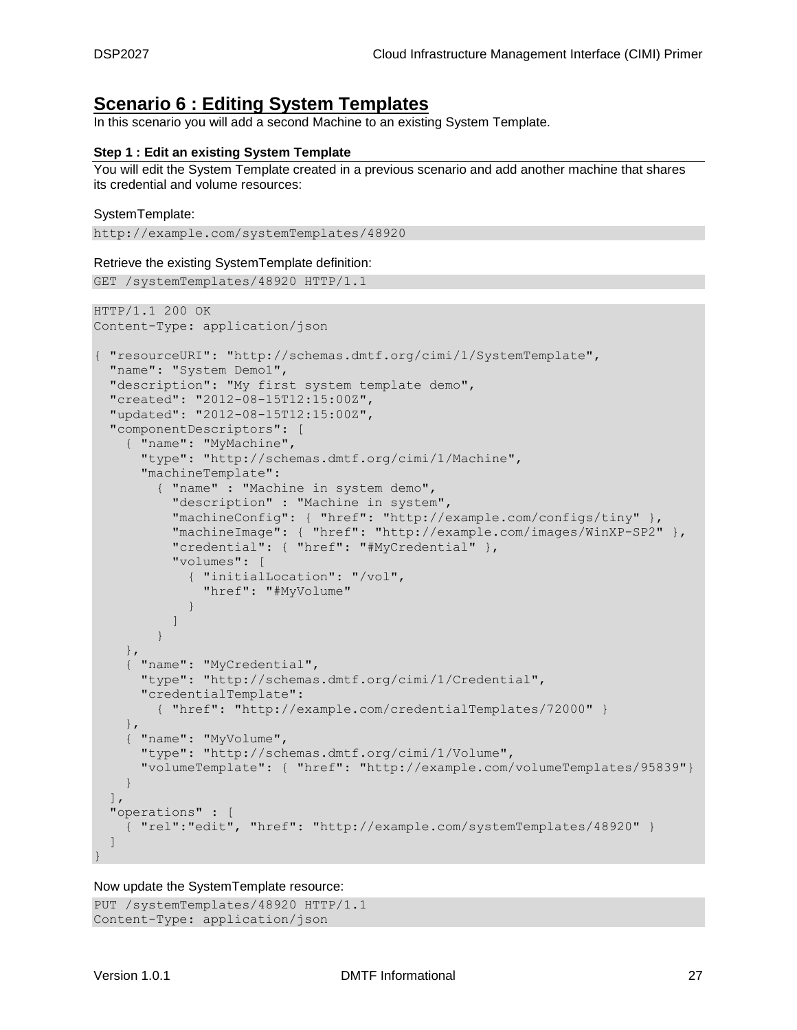# <span id="page-26-0"></span>**Scenario 6 : Editing System Templates**

<span id="page-26-1"></span>In this scenario you will add a second Machine to an existing System Template.

### **Step 1 : Edit an existing System Template**

You will edit the System Template created in a previous scenario and add another machine that shares its credential and volume resources:

#### SystemTemplate:

http://example.com/systemTemplates/48920

# Retrieve the existing SystemTemplate definition: GET /systemTemplates/48920 HTTP/1.1

```
HTTP/1.1 200 OK
Content-Type: application/json
{ "resourceURI": "http://schemas.dmtf.org/cimi/1/SystemTemplate",
  "name": "System Demol",
   "description": "My first system template demo",
   "created": "2012-08-15T12:15:00Z",
   "updated": "2012-08-15T12:15:00Z",
   "componentDescriptors": [
     { "name": "MyMachine",
      "type": "http://schemas.dmtf.org/cimi/1/Machine",
       "machineTemplate":
         { "name" : "Machine in system demo", 
           "description" : "Machine in system",
           "machineConfig": { "href": "http://example.com/configs/tiny" },
           "machineImage": { "href": "http://example.com/images/WinXP-SP2" },
           "credential": { "href": "#MyCredential" },
           "volumes": [
             { "initialLocation": "/vol",
               "href": "#MyVolume"
 }
 ]
         }
     },
     { "name": "MyCredential",
      "type": "http://schemas.dmtf.org/cimi/1/Credential",
       "credentialTemplate": 
         { "href": "http://example.com/credentialTemplates/72000" }
     },
      "name": "MyVolume",
       "type": "http://schemas.dmtf.org/cimi/1/Volume",
       "volumeTemplate": { "href": "http://example.com/volumeTemplates/95839"}
     }
  \frac{1}{\sqrt{2}} "operations" : [
     { "rel":"edit", "href": "http://example.com/systemTemplates/48920" }
   ]
}
```
### Now update the SystemTemplate resource:

```
PUT /systemTemplates/48920 HTTP/1.1
Content-Type: application/json
```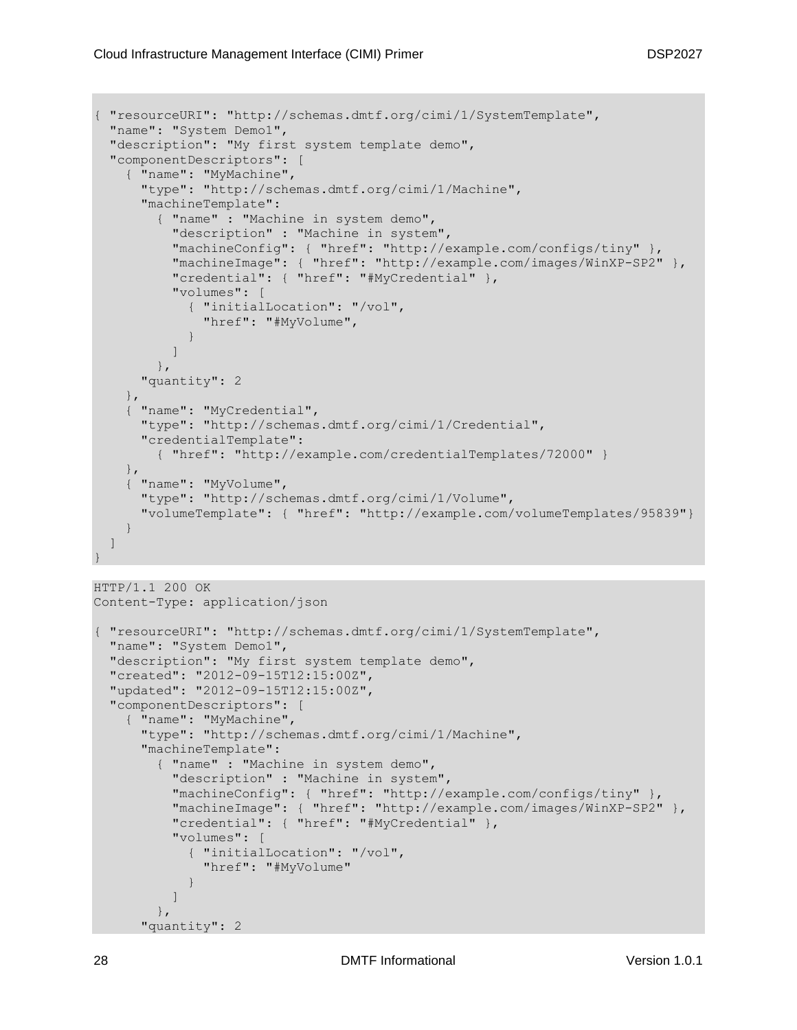```
{ "resourceURI": "http://schemas.dmtf.org/cimi/1/SystemTemplate",
  "name": "System Demo1",
  "description": "My first system template demo",
  "componentDescriptors": [
     { "name": "MyMachine",
      "type": "http://schemas.dmtf.org/cimi/1/Machine",
       "machineTemplate":
         { "name" : "Machine in system demo", 
           "description" : "Machine in system",
           "machineConfig": { "href": "http://example.com/configs/tiny" },
           "machineImage": { "href": "http://example.com/images/WinXP-SP2" },
           "credential": { "href": "#MyCredential" },
           "volumes": [
             { "initialLocation": "/vol",
              "href": "#MyVolume",
 }
           ]
        },
       "quantity": 2
     },
     { "name": "MyCredential",
      "type": "http://schemas.dmtf.org/cimi/1/Credential",
       "credentialTemplate": 
        { "href": "http://example.com/credentialTemplates/72000" }
    },
     { "name": "MyVolume",
       "type": "http://schemas.dmtf.org/cimi/1/Volume",
       "volumeTemplate": { "href": "http://example.com/volumeTemplates/95839"}
     }
  ]
}
```

```
HTTP/1.1 200 OK
Content-Type: application/json
```

```
{ "resourceURI": "http://schemas.dmtf.org/cimi/1/SystemTemplate",
  "name": "System Demo1",
  "description": "My first system template demo",
  "created": "2012-09-15T12:15:00Z",
  "updated": "2012-09-15T12:15:00Z",
  "componentDescriptors": [
     { "name": "MyMachine",
      "type": "http://schemas.dmtf.org/cimi/1/Machine",
       "machineTemplate":
         { "name" : "Machine in system demo", 
           "description" : "Machine in system",
           "machineConfig": { "href": "http://example.com/configs/tiny" },
           "machineImage": { "href": "http://example.com/images/WinXP-SP2" },
           "credential": { "href": "#MyCredential" },
           "volumes": [
             { "initialLocation": "/vol",
               "href": "#MyVolume"
 }
          ]
         },
       "quantity": 2
```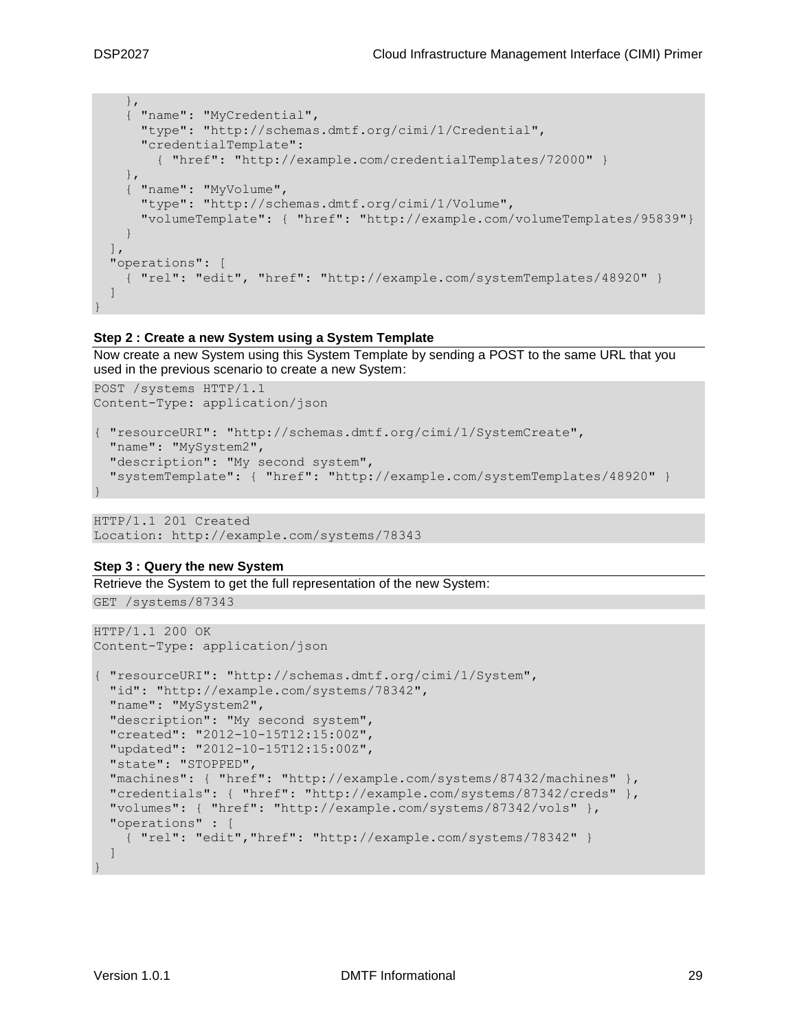```
 },
     { "name": "MyCredential",
      "type": "http://schemas.dmtf.org/cimi/1/Credential",
       "credentialTemplate": 
         { "href": "http://example.com/credentialTemplates/72000" }
     },
     { "name": "MyVolume",
       "type": "http://schemas.dmtf.org/cimi/1/Volume",
       "volumeTemplate": { "href": "http://example.com/volumeTemplates/95839"}
    }
  ],
   "operations": [
     { "rel": "edit", "href": "http://example.com/systemTemplates/48920" }
  ]
}
```
### <span id="page-28-0"></span>**Step 2 : Create a new System using a System Template**

Now create a new System using this System Template by sending a POST to the same URL that you used in the previous scenario to create a new System:

```
POST /systems HTTP/1.1
Content-Type: application/json
{ "resourceURI": "http://schemas.dmtf.org/cimi/1/SystemCreate",
   "name": "MySystem2",
  "description": "My second system",
   "systemTemplate": { "href": "http://example.com/systemTemplates/48920" }
}
```

```
HTTP/1.1 201 Created
Location: http://example.com/systems/78343
```
### <span id="page-28-1"></span>**Step 3 : Query the new System**

Retrieve the System to get the full representation of the new System: GET /systems/87343

```
HTTP/1.1 200 OK
Content-Type: application/json
{ "resourceURI": "http://schemas.dmtf.org/cimi/1/System",
   "id": "http://example.com/systems/78342",
  "name": "MySystem2",
   "description": "My second system",
   "created": "2012-10-15T12:15:00Z",
   "updated": "2012-10-15T12:15:00Z",
   "state": "STOPPED",
   "machines": { "href": "http://example.com/systems/87432/machines" },
   "credentials": { "href": "http://example.com/systems/87342/creds" },
   "volumes": { "href": "http://example.com/systems/87342/vols" },
   "operations" : [
     { "rel": "edit","href": "http://example.com/systems/78342" }
  \mathbf{I}}
```